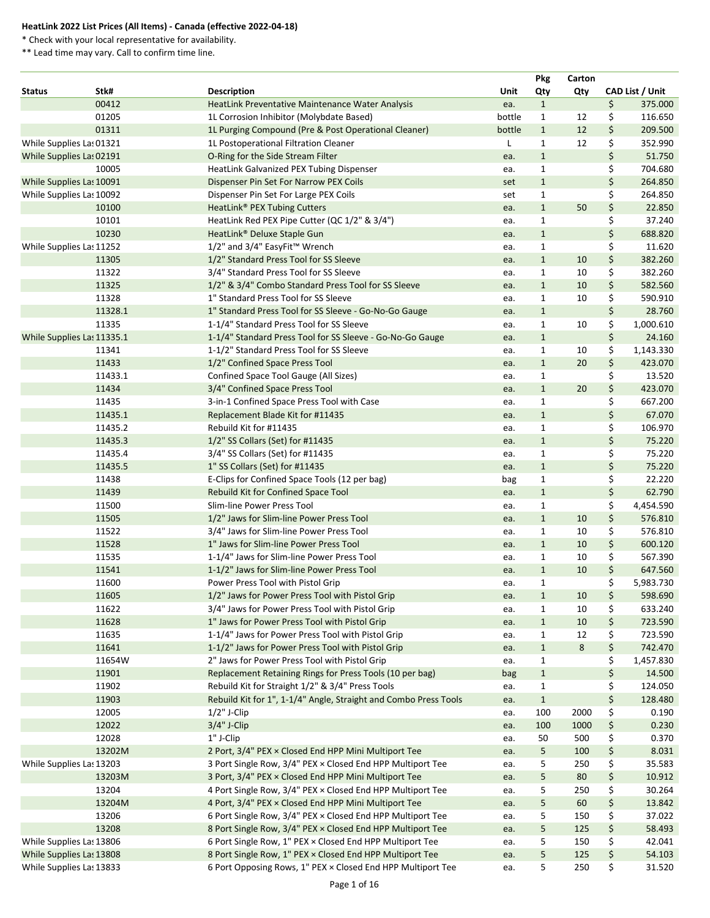\* Check with your local representative for availability.

|               |                            |                                                                  |        | <b>Pkg</b>   | Carton |                        |
|---------------|----------------------------|------------------------------------------------------------------|--------|--------------|--------|------------------------|
| <b>Status</b> | Stk#                       | <b>Description</b>                                               | Unit   | Qty          | Qty    | <b>CAD List / Unit</b> |
|               | 00412                      | HeatLink Preventative Maintenance Water Analysis                 | ea.    | $\mathbf{1}$ |        | \$<br>375.000          |
|               | 01205                      | 1L Corrosion Inhibitor (Molybdate Based)                         | bottle | $\mathbf{1}$ | 12     | \$<br>116.650          |
|               | 01311                      | 1L Purging Compound (Pre & Post Operational Cleaner)             | bottle | $\mathbf{1}$ | 12     | \$<br>209.500          |
|               | While Supplies Las 01321   | 1L Postoperational Filtration Cleaner                            |        | 1            | 12     | \$<br>352.990          |
|               | While Supplies Las 02191   | O-Ring for the Side Stream Filter                                | ea.    | $\mathbf{1}$ |        | \$<br>51.750           |
|               | 10005                      | HeatLink Galvanized PEX Tubing Dispenser                         | ea.    | $\mathbf{1}$ |        | \$<br>704.680          |
|               | While Supplies Las 10091   | Dispenser Pin Set For Narrow PEX Coils                           | set    | $\mathbf{1}$ |        | \$<br>264.850          |
|               | While Supplies Las 10092   | Dispenser Pin Set For Large PEX Coils                            | set    | $\mathbf{1}$ |        | \$<br>264.850          |
|               | 10100                      | HeatLink <sup>®</sup> PEX Tubing Cutters                         | ea.    | $\mathbf{1}$ | 50     | \$<br>22.850           |
|               | 10101                      | HeatLink Red PEX Pipe Cutter (QC 1/2" & 3/4")                    | ea.    | 1            |        | \$<br>37.240           |
|               | 10230                      | HeatLink <sup>®</sup> Deluxe Staple Gun                          | ea.    | $\mathbf{1}$ |        | \$<br>688.820          |
|               | While Supplies Las 11252   | 1/2" and 3/4" EasyFit™ Wrench                                    | ea.    | $\mathbf{1}$ |        | \$<br>11.620           |
|               | 11305                      | 1/2" Standard Press Tool for SS Sleeve                           | ea.    | $\mathbf{1}$ | 10     | \$<br>382.260          |
|               | 11322                      | 3/4" Standard Press Tool for SS Sleeve                           | ea.    | $\mathbf{1}$ | 10     | \$<br>382.260          |
|               | 11325                      | 1/2" & 3/4" Combo Standard Press Tool for SS Sleeve              | ea.    | $\mathbf{1}$ | 10     | \$<br>582.560          |
|               | 11328                      | 1" Standard Press Tool for SS Sleeve                             | ea.    | 1            | 10     | \$<br>590.910          |
|               | 11328.1                    | 1" Standard Press Tool for SS Sleeve - Go-No-Go Gauge            | ea.    | $\mathbf{1}$ |        | \$<br>28.760           |
|               | 11335                      | 1-1/4" Standard Press Tool for SS Sleeve                         | ea.    | $\mathbf{1}$ | 10     | \$<br>1,000.610        |
|               | While Supplies Las 11335.1 | 1-1/4" Standard Press Tool for SS Sleeve - Go-No-Go Gauge        | ea.    | $\mathbf{1}$ |        | \$<br>24.160           |
|               | 11341                      | 1-1/2" Standard Press Tool for SS Sleeve                         | ea.    | $\mathbf{1}$ | 10     | \$<br>1,143.330        |
|               | 11433                      | 1/2" Confined Space Press Tool                                   | ea.    | $\mathbf{1}$ | 20     | \$<br>423.070          |
|               | 11433.1                    | Confined Space Tool Gauge (All Sizes)                            | ea.    | 1            |        | \$<br>13.520           |
|               | 11434                      | 3/4" Confined Space Press Tool                                   | ea.    | $\mathbf{1}$ | 20     | \$<br>423.070          |
|               | 11435                      | 3-in-1 Confined Space Press Tool with Case                       | ea.    | $\mathbf{1}$ |        | \$<br>667.200          |
|               | 11435.1                    | Replacement Blade Kit for #11435                                 | ea.    | $\mathbf{1}$ |        | \$<br>67.070           |
|               | 11435.2                    | Rebuild Kit for #11435                                           | ea.    | $\mathbf{1}$ |        | \$<br>106.970          |
|               | 11435.3                    | 1/2" SS Collars (Set) for #11435                                 | ea.    | $\mathbf{1}$ |        | \$<br>75.220           |
|               | 11435.4                    | 3/4" SS Collars (Set) for #11435                                 | ea.    | $\mathbf{1}$ |        | \$<br>75.220           |
|               | 11435.5                    | 1" SS Collars (Set) for #11435                                   | ea.    | $\mathbf{1}$ |        | \$<br>75.220           |
|               | 11438                      | E-Clips for Confined Space Tools (12 per bag)                    | bag    | $\mathbf{1}$ |        | \$<br>22.220           |
|               | 11439                      | Rebuild Kit for Confined Space Tool                              | ea.    | $\mathbf{1}$ |        | \$<br>62.790           |
|               | 11500                      | Slim-line Power Press Tool                                       | ea.    | $\mathbf{1}$ |        | \$<br>4,454.590        |
|               | 11505                      | 1/2" Jaws for Slim-line Power Press Tool                         | ea.    | $\mathbf{1}$ | 10     | \$<br>576.810          |
|               | 11522                      | 3/4" Jaws for Slim-line Power Press Tool                         | ea.    | 1            | 10     | \$<br>576.810          |
|               | 11528                      | 1" Jaws for Slim-line Power Press Tool                           | ea.    | $\mathbf{1}$ | 10     | \$<br>600.120          |
|               | 11535                      | 1-1/4" Jaws for Slim-line Power Press Tool                       | ea.    | $\mathbf{1}$ | 10     | \$<br>567.390          |
|               | 11541                      | 1-1/2" Jaws for Slim-line Power Press Tool                       | ea.    | $\mathbf{1}$ | 10     | \$<br>647.560          |
|               | 11600                      | Power Press Tool with Pistol Grip                                | ea.    | $\mathbf{1}$ |        | \$<br>5,983.730        |
|               | 11605                      | 1/2" Jaws for Power Press Tool with Pistol Grip                  | ea.    | $\mathbf{1}$ | 10     | \$<br>598.690          |
|               | 11622                      | 3/4" Jaws for Power Press Tool with Pistol Grip                  | ea.    | 1            | 10     | \$<br>633.240          |
|               | 11628                      | 1" Jaws for Power Press Tool with Pistol Grip                    | ea.    | $\mathbf{1}$ | 10     | \$<br>723.590          |
|               | 11635                      | 1-1/4" Jaws for Power Press Tool with Pistol Grip                | ea.    | $\mathbf{1}$ | 12     | \$<br>723.590          |
|               | 11641                      | 1-1/2" Jaws for Power Press Tool with Pistol Grip                | ea.    | $\mathbf{1}$ | 8      | \$<br>742.470          |
|               | 11654W                     | 2" Jaws for Power Press Tool with Pistol Grip                    | ea.    | $\mathbf{1}$ |        | \$<br>1,457.830        |
|               | 11901                      | Replacement Retaining Rings for Press Tools (10 per bag)         | bag    | $\mathbf{1}$ |        | \$<br>14.500           |
|               | 11902                      | Rebuild Kit for Straight 1/2" & 3/4" Press Tools                 | ea.    | $\mathbf{1}$ |        | \$<br>124.050          |
|               | 11903                      | Rebuild Kit for 1", 1-1/4" Angle, Straight and Combo Press Tools | ea.    | $\mathbf{1}$ |        | \$<br>128.480          |
|               | 12005                      | $1/2$ " J-Clip                                                   | ea.    | 100          | 2000   | \$<br>0.190            |
|               | 12022                      | $3/4"$ J-Clip                                                    | ea.    | 100          | 1000   | \$<br>0.230            |
|               | 12028                      | 1" J-Clip                                                        | ea.    | 50           | 500    | \$<br>0.370            |
|               | 13202M                     | 2 Port, 3/4" PEX × Closed End HPP Mini Multiport Tee             | ea.    | 5            | 100    | \$<br>8.031            |
|               | While Supplies Las 13203   | 3 Port Single Row, 3/4" PEX × Closed End HPP Multiport Tee       | ea.    | 5            | 250    | \$<br>35.583           |
|               | 13203M                     | 3 Port, 3/4" PEX × Closed End HPP Mini Multiport Tee             | ea.    | 5            | 80     | \$<br>10.912           |
|               | 13204                      | 4 Port Single Row, 3/4" PEX × Closed End HPP Multiport Tee       | ea.    | 5            | 250    | \$<br>30.264           |
|               | 13204M                     | 4 Port, 3/4" PEX × Closed End HPP Mini Multiport Tee             | ea.    | 5            | 60     | \$<br>13.842           |
|               | 13206                      | 6 Port Single Row, 3/4" PEX × Closed End HPP Multiport Tee       | ea.    | 5            | 150    | \$<br>37.022           |
|               | 13208                      | 8 Port Single Row, 3/4" PEX × Closed End HPP Multiport Tee       | ea.    | 5            | 125    | \$<br>58.493           |
|               | While Supplies Las 13806   | 6 Port Single Row, 1" PEX × Closed End HPP Multiport Tee         | ea.    | 5            | 150    | \$<br>42.041           |
|               | While Supplies Las 13808   | 8 Port Single Row, 1" PEX × Closed End HPP Multiport Tee         | ea.    | 5            | 125    | \$<br>54.103           |
|               | While Supplies Las 13833   | 6 Port Opposing Rows, 1" PEX × Closed End HPP Multiport Tee      | ea.    | 5            | 250    | \$<br>31.520           |
|               |                            |                                                                  |        |              |        |                        |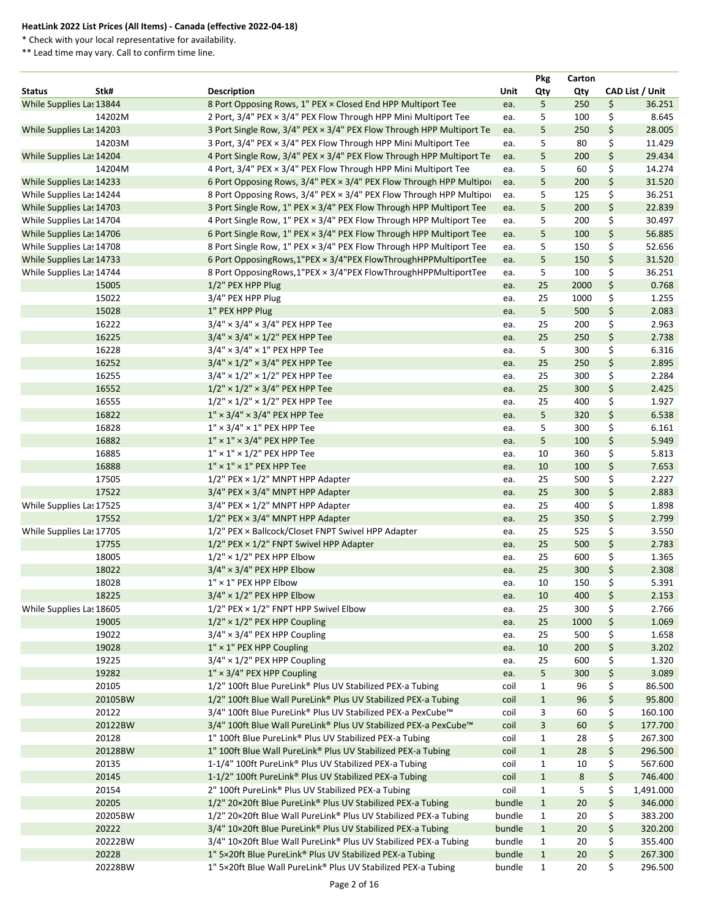\* Check with your local representative for availability.

|                          |         |                                                                      |             | <b>Pkg</b>   | Carton         |    |                        |  |
|--------------------------|---------|----------------------------------------------------------------------|-------------|--------------|----------------|----|------------------------|--|
| <b>Status</b>            | Stk#    | <b>Description</b>                                                   | <b>Unit</b> | Qty          | Qty            |    | <b>CAD List / Unit</b> |  |
| While Supplies Las 13844 |         | 8 Port Opposing Rows, 1" PEX × Closed End HPP Multiport Tee          | ea.         | 5            | 250            | \$ | 36.251                 |  |
|                          | 14202M  | 2 Port, 3/4" PEX × 3/4" PEX Flow Through HPP Mini Multiport Tee      | ea.         | 5            | 100            | \$ | 8.645                  |  |
| While Supplies Las 14203 |         | 3 Port Single Row, 3/4" PEX × 3/4" PEX Flow Through HPP Multiport Te | ea.         | 5            | 250            | \$ | 28.005                 |  |
|                          | 14203M  | 3 Port, 3/4" PEX × 3/4" PEX Flow Through HPP Mini Multiport Tee      | ea.         | 5            | 80             | \$ | 11.429                 |  |
| While Supplies Las 14204 |         | 4 Port Single Row, 3/4" PEX × 3/4" PEX Flow Through HPP Multiport Te | ea.         | 5            | 200            | \$ | 29.434                 |  |
|                          | 14204M  | 4 Port, 3/4" PEX × 3/4" PEX Flow Through HPP Mini Multiport Tee      | ea.         | 5            | 60             | \$ | 14.274                 |  |
| While Supplies Las 14233 |         | 6 Port Opposing Rows, 3/4" PEX × 3/4" PEX Flow Through HPP Multipor  | ea.         | 5            | 200            | \$ | 31.520                 |  |
| While Supplies Las 14244 |         | 8 Port Opposing Rows, 3/4" PEX × 3/4" PEX Flow Through HPP Multipo   | ea.         | 5            | 125            | \$ | 36.251                 |  |
| While Supplies Las 14703 |         | 3 Port Single Row, 1" PEX × 3/4" PEX Flow Through HPP Multiport Tee  | ea.         | 5            | 200            | \$ | 22.839                 |  |
| While Supplies Las 14704 |         | 4 Port Single Row, 1" PEX × 3/4" PEX Flow Through HPP Multiport Tee  | ea.         | 5            | 200            | \$ | 30.497                 |  |
| While Supplies Las 14706 |         | 6 Port Single Row, 1" PEX × 3/4" PEX Flow Through HPP Multiport Tee  | ea.         | 5            | 100            | \$ | 56.885                 |  |
| While Supplies Las 14708 |         | 8 Port Single Row, 1" PEX × 3/4" PEX Flow Through HPP Multiport Tee  | ea.         | 5            | 150            | \$ | 52.656                 |  |
| While Supplies Las 14733 |         | 6 Port OpposingRows,1"PEX × 3/4"PEX FlowThroughHPPMultiportTee       | ea.         | 5            | 150            | \$ | 31.520                 |  |
| While Supplies Las 14744 |         | 8 Port OpposingRows,1"PEX × 3/4"PEX FlowThroughHPPMultiportTee       | ea.         | 5            | 100            | \$ | 36.251                 |  |
|                          | 15005   | 1/2" PEX HPP Plug                                                    | ea.         | 25           | 2000           | \$ | 0.768                  |  |
|                          | 15022   | 3/4" PEX HPP Plug                                                    | ea.         | 25           | 1000           | \$ | 1.255                  |  |
|                          | 15028   | 1" PEX HPP Plug                                                      | ea.         | 5            | 500            | \$ | 2.083                  |  |
|                          | 16222   | $3/4" \times 3/4" \times 3/4"$ PEX HPP Tee                           | ea.         | 25           | 200            | \$ | 2.963                  |  |
|                          | 16225   | $3/4" \times 3/4" \times 1/2"$ PEX HPP Tee                           | ea.         | 25           | 250            | \$ | 2.738                  |  |
|                          | 16228   | $3/4" \times 3/4" \times 1"$ PEX HPP Tee                             |             | 5            | 300            | \$ | 6.316                  |  |
|                          | 16252   |                                                                      | ea.         | 25           | 250            | \$ | 2.895                  |  |
|                          |         | $3/4" \times 1/2" \times 3/4"$ PEX HPP Tee                           | ea.         |              |                |    |                        |  |
|                          | 16255   | $3/4" \times 1/2" \times 1/2"$ PEX HPP Tee                           | ea.         | 25           | 300            | \$ | 2.284                  |  |
|                          | 16552   | $1/2" \times 1/2" \times 3/4"$ PEX HPP Tee                           | ea.         | 25           | 300            | \$ | 2.425                  |  |
|                          | 16555   | $1/2"$ × $1/2"$ × $1/2"$ PEX HPP Tee                                 | ea.         | 25           | 400            | \$ | 1.927                  |  |
|                          | 16822   | $1'' \times 3/4'' \times 3/4''$ PEX HPP Tee                          | ea.         | 5            | 320            | \$ | 6.538                  |  |
|                          | 16828   | $1'' \times 3/4'' \times 1''$ PEX HPP Tee                            | ea.         | 5            | 300            | \$ | 6.161                  |  |
|                          | 16882   | $1'' \times 1'' \times 3/4''$ PEX HPP Tee                            | ea.         | 5            | 100            | \$ | 5.949                  |  |
|                          | 16885   | $1'' \times 1'' \times 1/2''$ PEX HPP Tee                            | ea.         | 10           | 360            | \$ | 5.813                  |  |
|                          | 16888   | $1'' \times 1'' \times 1''$ PEX HPP Tee                              | ea.         | 10           | 100            | \$ | 7.653                  |  |
|                          | 17505   | $1/2$ " PEX $\times$ $1/2$ " MNPT HPP Adapter                        | ea.         | 25           | 500            | \$ | 2.227                  |  |
|                          | 17522   | $3/4"$ PEX $\times$ 3/4" MNPT HPP Adapter                            | ea.         | 25           | 300            | \$ | 2.883                  |  |
| While Supplies Las 17525 |         | $3/4$ " PEX $\times$ 1/2" MNPT HPP Adapter                           | ea.         | 25           | 400            | \$ | 1.898                  |  |
|                          | 17552   | $1/2$ " PEX $\times$ 3/4" MNPT HPP Adapter                           | ea.         | 25           | 350            | \$ | 2.799                  |  |
| While Supplies Las 17705 |         | 1/2" PEX × Ballcock/Closet FNPT Swivel HPP Adapter                   | ea.         | 25           | 525            | \$ | 3.550                  |  |
|                          | 17755   | $1/2$ " PEX $\times$ $1/2$ " FNPT Swivel HPP Adapter                 | ea.         | 25           | 500            | \$ | 2.783                  |  |
|                          | 18005   | $1/2" \times 1/2"$ PEX HPP Elbow                                     | ea.         | 25           | 600            | \$ | 1.365                  |  |
|                          | 18022   | $3/4" \times 3/4"$ PEX HPP Elbow                                     | ea.         | 25           | 300            | \$ | 2.308                  |  |
|                          | 18028   | $1'' \times 1''$ PEX HPP Elbow                                       | ea.         | 10           | 150            | \$ | 5.391                  |  |
|                          | 18225   | $3/4" \times 1/2"$ PEX HPP Elbow                                     | ea.         | 10           | 400            | \$ | 2.153                  |  |
| While Supplies Las 18605 |         | $1/2$ " PEX $\times$ $1/2$ " FNPT HPP Swivel Elbow                   | ea.         | 25           | 300            | \$ | 2.766                  |  |
|                          | 19005   | $1/2" \times 1/2"$ PEX HPP Coupling                                  | ea.         | 25           | 1000           | \$ | 1.069                  |  |
|                          | 19022   | $3/4" \times 3/4"$ PEX HPP Coupling                                  | ea.         | 25           | 500            | \$ | 1.658                  |  |
|                          | 19028   | $1'' \times 1''$ PEX HPP Coupling                                    | ea.         | 10           | 200            | \$ | 3.202                  |  |
|                          | 19225   | $3/4" \times 1/2"$ PEX HPP Coupling                                  | ea.         | 25           | 600            | \$ | 1.320                  |  |
|                          | 19282   | $1'' \times 3/4''$ PEX HPP Coupling                                  | ea.         | 5            | 300            | \$ | 3.089                  |  |
|                          | 20105   | 1/2" 100ft Blue PureLink® Plus UV Stabilized PEX-a Tubing            | coil        | 1            | 96             | \$ | 86.500                 |  |
|                          | 20105BW | 1/2" 100ft Blue Wall PureLink® Plus UV Stabilized PEX-a Tubing       | coil        | $\mathbf{1}$ | 96             | \$ | 95.800                 |  |
|                          | 20122   | 3/4" 100ft Blue PureLink® Plus UV Stabilized PEX-a PexCube™          | coil        | 3            | 60             | \$ | 160.100                |  |
|                          | 20122BW | 3/4" 100ft Blue Wall PureLink® Plus UV Stabilized PEX-a PexCube™     | coil        | 3            | 60             | \$ | 177.700                |  |
|                          | 20128   | 1" 100ft Blue PureLink® Plus UV Stabilized PEX-a Tubing              | coil        | $\mathbf{1}$ | 28             | \$ | 267.300                |  |
|                          | 20128BW | 1" 100ft Blue Wall PureLink® Plus UV Stabilized PEX-a Tubing         | coil        | $\mathbf{1}$ | 28             | \$ | 296.500                |  |
|                          | 20135   | 1-1/4" 100ft PureLink® Plus UV Stabilized PEX-a Tubing               | coil        | $\mathbf{1}$ | 10             | \$ | 567.600                |  |
|                          | 20145   | 1-1/2" 100ft PureLink® Plus UV Stabilized PEX-a Tubing               | coil        | $\mathbf{1}$ | $8\phantom{1}$ | \$ | 746.400                |  |
|                          | 20154   | 2" 100ft PureLink® Plus UV Stabilized PEX-a Tubing                   | coil        | $\mathbf{1}$ | 5              | \$ | 1,491.000              |  |
|                          |         |                                                                      |             |              |                |    |                        |  |
|                          | 20205   | 1/2" 20×20ft Blue PureLink® Plus UV Stabilized PEX-a Tubing          | bundle      | $\mathbf{1}$ | 20             | \$ | 346.000                |  |
|                          | 20205BW | 1/2" 20×20ft Blue Wall PureLink® Plus UV Stabilized PEX-a Tubing     | bundle      | $\mathbf{1}$ | 20             | \$ | 383.200                |  |
|                          | 20222   | 3/4" 10×20ft Blue PureLink® Plus UV Stabilized PEX-a Tubing          | bundle      | $\mathbf{1}$ | 20             | \$ | 320.200                |  |
|                          | 20222BW | 3/4" 10×20ft Blue Wall PureLink® Plus UV Stabilized PEX-a Tubing     | bundle      | $\mathbf{1}$ | 20             | \$ | 355.400                |  |
|                          | 20228   | 1" 5×20ft Blue PureLink® Plus UV Stabilized PEX-a Tubing             | bundle      | $\mathbf{1}$ | 20             | \$ | 267.300                |  |
|                          | 20228BW | 1" 5×20ft Blue Wall PureLink® Plus UV Stabilized PEX-a Tubing        | bundle      | $\mathbf{1}$ | 20             | \$ | 296.500                |  |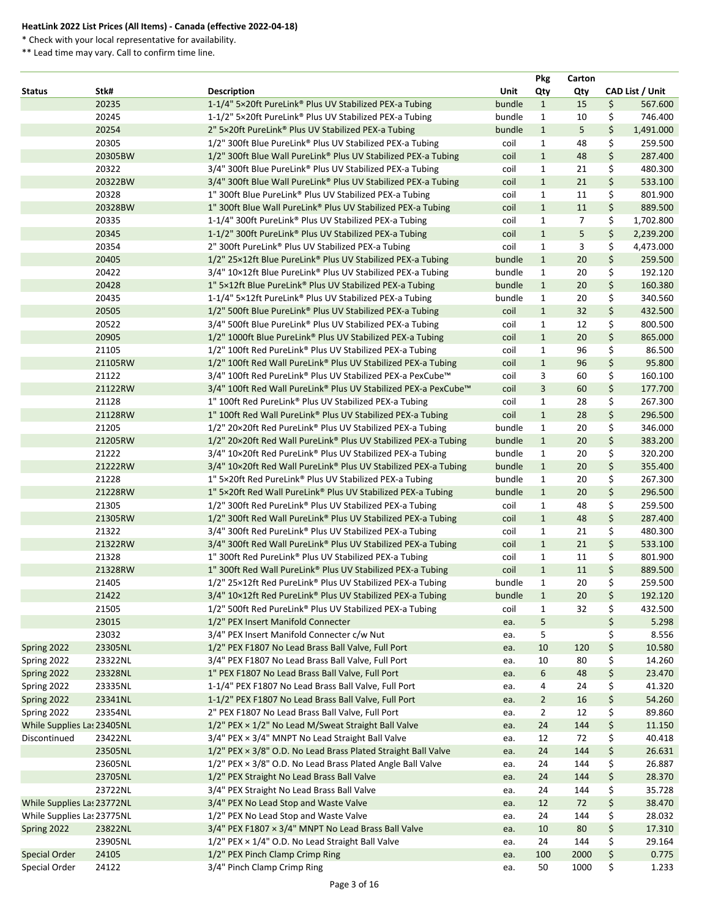\* Check with your local representative for availability.

|                            |         |                                                                           | <b>Pkg</b>     | Carton |                 |
|----------------------------|---------|---------------------------------------------------------------------------|----------------|--------|-----------------|
| <b>Status</b>              | Stk#    | Unit<br><b>Description</b>                                                | Qty            | Qty    | CAD List / Unit |
|                            | 20235   | 1-1/4" 5×20ft PureLink® Plus UV Stabilized PEX-a Tubing<br>bundle         | $\mathbf{1}$   | 15     | \$<br>567.600   |
|                            | 20245   | 1-1/2" 5×20ft PureLink® Plus UV Stabilized PEX-a Tubing<br>bundle         | $\mathbf{1}$   | 10     | \$<br>746.400   |
|                            | 20254   | 2" 5×20ft PureLink® Plus UV Stabilized PEX-a Tubing<br>bundle             | $\mathbf{1}$   | 5      | \$<br>1,491.000 |
|                            | 20305   | 1/2" 300ft Blue PureLink® Plus UV Stabilized PEX-a Tubing<br>coil         | $\mathbf{1}$   | 48     | \$<br>259.500   |
|                            | 20305BW | 1/2" 300ft Blue Wall PureLink® Plus UV Stabilized PEX-a Tubing<br>coil    | $\mathbf{1}$   | 48     | \$<br>287.400   |
|                            | 20322   | 3/4" 300ft Blue PureLink® Plus UV Stabilized PEX-a Tubing<br>coil         | $\mathbf{1}$   | 21     | \$<br>480.300   |
|                            | 20322BW | 3/4" 300ft Blue Wall PureLink® Plus UV Stabilized PEX-a Tubing<br>coil    | $\mathbf{1}$   | 21     | \$<br>533.100   |
|                            | 20328   | 1" 300ft Blue PureLink® Plus UV Stabilized PEX-a Tubing<br>coil           | $\mathbf{1}$   | 11     | \$<br>801.900   |
|                            | 20328BW | 1" 300ft Blue Wall PureLink® Plus UV Stabilized PEX-a Tubing<br>coil      | $\mathbf{1}$   | 11     | \$<br>889.500   |
|                            | 20335   | 1-1/4" 300ft PureLink® Plus UV Stabilized PEX-a Tubing<br>coil            | $\mathbf{1}$   | 7      | \$<br>1,702.800 |
|                            | 20345   | 1-1/2" 300ft PureLink® Plus UV Stabilized PEX-a Tubing<br>coil            | $\mathbf{1}$   | 5      | \$<br>2,239.200 |
|                            | 20354   | 2" 300ft PureLink® Plus UV Stabilized PEX-a Tubing<br>coil                | $\mathbf{1}$   | 3      | \$<br>4,473.000 |
|                            | 20405   | 1/2" 25×12ft Blue PureLink® Plus UV Stabilized PEX-a Tubing<br>bundle     | $\mathbf{1}$   | 20     | \$<br>259.500   |
|                            | 20422   | 3/4" 10×12ft Blue PureLink® Plus UV Stabilized PEX-a Tubing<br>bundle     | $\mathbf{1}$   | 20     | \$<br>192.120   |
|                            | 20428   | 1" 5×12ft Blue PureLink® Plus UV Stabilized PEX-a Tubing<br>bundle        | $\mathbf{1}$   | 20     | \$<br>160.380   |
|                            | 20435   | 1-1/4" 5×12ft PureLink® Plus UV Stabilized PEX-a Tubing<br>bundle         | $\mathbf{1}$   | 20     | \$<br>340.560   |
|                            | 20505   | 1/2" 500ft Blue PureLink® Plus UV Stabilized PEX-a Tubing<br>coil         | $\mathbf{1}$   | 32     | \$<br>432.500   |
|                            | 20522   | 3/4" 500ft Blue PureLink® Plus UV Stabilized PEX-a Tubing<br>coil         | $\mathbf{1}$   | 12     | \$<br>800.500   |
|                            | 20905   | 1/2" 1000ft Blue PureLink® Plus UV Stabilized PEX-a Tubing<br>coil        | $\mathbf{1}$   | 20     | \$<br>865.000   |
|                            | 21105   | 1/2" 100ft Red PureLink® Plus UV Stabilized PEX-a Tubing<br>coil          | 1              | 96     | \$<br>86.500    |
|                            | 21105RW | 1/2" 100ft Red Wall PureLink® Plus UV Stabilized PEX-a Tubing<br>coil     | $\mathbf{1}$   | 96     | \$<br>95.800    |
|                            | 21122   | 3/4" 100ft Red PureLink® Plus UV Stabilized PEX-a PexCube™<br>coil        | 3              | 60     | \$<br>160.100   |
|                            | 21122RW | 3/4" 100ft Red Wall PureLink® Plus UV Stabilized PEX-a PexCube™<br>coil   | $\overline{3}$ | 60     | \$<br>177.700   |
|                            | 21128   | 1" 100ft Red PureLink® Plus UV Stabilized PEX-a Tubing<br>coil            | $\mathbf{1}$   | 28     | \$<br>267.300   |
|                            | 21128RW | 1" 100ft Red Wall PureLink® Plus UV Stabilized PEX-a Tubing<br>coil       | $\mathbf{1}$   | 28     | \$<br>296.500   |
|                            | 21205   | 1/2" 20×20ft Red PureLink® Plus UV Stabilized PEX-a Tubing<br>bundle      | $\mathbf{1}$   | 20     | \$<br>346.000   |
|                            | 21205RW | 1/2" 20×20ft Red Wall PureLink® Plus UV Stabilized PEX-a Tubing<br>bundle | $\mathbf{1}$   | 20     | \$<br>383.200   |
|                            | 21222   | 3/4" 10×20ft Red PureLink® Plus UV Stabilized PEX-a Tubing<br>bundle      | $\mathbf{1}$   | 20     | \$<br>320.200   |
|                            | 21222RW | 3/4" 10×20ft Red Wall PureLink® Plus UV Stabilized PEX-a Tubing<br>bundle | $\mathbf{1}$   | 20     | \$<br>355.400   |
|                            | 21228   | 1" 5×20ft Red PureLink® Plus UV Stabilized PEX-a Tubing<br>bundle         | $\mathbf{1}$   | 20     | \$<br>267.300   |
|                            | 21228RW | 1" 5×20ft Red Wall PureLink® Plus UV Stabilized PEX-a Tubing<br>bundle    | $\mathbf{1}$   | 20     | \$<br>296.500   |
|                            | 21305   | 1/2" 300ft Red PureLink® Plus UV Stabilized PEX-a Tubing<br>coil          | 1              | 48     | \$<br>259.500   |
|                            | 21305RW | 1/2" 300ft Red Wall PureLink® Plus UV Stabilized PEX-a Tubing<br>coil     | $\mathbf{1}$   | 48     | \$<br>287.400   |
|                            | 21322   | 3/4" 300ft Red PureLink® Plus UV Stabilized PEX-a Tubing<br>coil          | $\mathbf{1}$   | 21     | \$<br>480.300   |
|                            | 21322RW | 3/4" 300ft Red Wall PureLink® Plus UV Stabilized PEX-a Tubing<br>coil     | $\mathbf{1}$   | 21     | \$<br>533.100   |
|                            | 21328   | 1" 300ft Red PureLink® Plus UV Stabilized PEX-a Tubing<br>coil            | $\mathbf{1}$   | 11     | \$<br>801.900   |
|                            | 21328RW | 1" 300ft Red Wall PureLink® Plus UV Stabilized PEX-a Tubing<br>coil       | $\mathbf{1}$   | 11     | \$<br>889.500   |
|                            | 21405   | 1/2" 25×12ft Red PureLink® Plus UV Stabilized PEX-a Tubing<br>bundle      | $\mathbf{1}$   | 20     | \$<br>259.500   |
|                            | 21422   | 3/4" 10×12ft Red PureLink® Plus UV Stabilized PEX-a Tubing<br>bundle      | $\mathbf{1}$   | 20     | \$<br>192.120   |
|                            | 21505   | 1/2" 500ft Red PureLink® Plus UV Stabilized PEX-a Tubing<br>coil          | $\mathbf{1}$   | 32     | \$<br>432.500   |
|                            | 23015   | 1/2" PEX Insert Manifold Connecter<br>ea.                                 | 5              |        | \$<br>5.298     |
|                            | 23032   | 3/4" PEX Insert Manifold Connecter c/w Nut<br>ea.                         | 5              |        | \$<br>8.556     |
| Spring 2022                | 23305NL | 1/2" PEX F1807 No Lead Brass Ball Valve, Full Port<br>ea.                 | 10             | 120    | \$<br>10.580    |
| Spring 2022                | 23322NL | 3/4" PEX F1807 No Lead Brass Ball Valve, Full Port<br>ea.                 | 10             | 80     | \$<br>14.260    |
| Spring 2022                | 23328NL | 1" PEX F1807 No Lead Brass Ball Valve, Full Port<br>ea.                   | 6              | 48     | \$<br>23.470    |
| Spring 2022                | 23335NL | 1-1/4" PEX F1807 No Lead Brass Ball Valve, Full Port<br>ea.               | 4              | 24     | \$<br>41.320    |
| Spring 2022                | 23341NL | 1-1/2" PEX F1807 No Lead Brass Ball Valve, Full Port<br>ea.               | $\overline{2}$ | 16     | \$<br>54.260    |
| Spring 2022                | 23354NL | 2" PEX F1807 No Lead Brass Ball Valve, Full Port<br>ea.                   | $\overline{2}$ | 12     | \$<br>89.860    |
| While Supplies Las 23405NL |         | 1/2" PEX × 1/2" No Lead M/Sweat Straight Ball Valve<br>ea.                | 24             | 144    | \$<br>11.150    |
| Discontinued               | 23422NL | 3/4" PEX × 3/4" MNPT No Lead Straight Ball Valve<br>ea.                   | 12             | 72     | \$<br>40.418    |
|                            | 23505NL | 1/2" PEX × 3/8" O.D. No Lead Brass Plated Straight Ball Valve<br>ea.      | 24             | 144    | \$<br>26.631    |
|                            | 23605NL | 1/2" PEX × 3/8" O.D. No Lead Brass Plated Angle Ball Valve<br>ea.         | 24             | 144    | \$<br>26.887    |
|                            | 23705NL | 1/2" PEX Straight No Lead Brass Ball Valve<br>ea.                         | 24             | 144    | \$<br>28.370    |
|                            | 23722NL | 3/4" PEX Straight No Lead Brass Ball Valve<br>ea.                         | 24             | 144    | \$<br>35.728    |
| While Supplies Las 23772NL |         | 3/4" PEX No Lead Stop and Waste Valve<br>ea.                              | 12             | 72     | \$<br>38.470    |
| While Supplies Las 23775NL |         | 1/2" PEX No Lead Stop and Waste Valve<br>ea.                              | 24             | 144    | \$<br>28.032    |
| Spring 2022                | 23822NL | $3/4$ " PEX F1807 $\times$ 3/4" MNPT No Lead Brass Ball Valve<br>ea.      | 10             | 80     | \$<br>17.310    |
|                            | 23905NL | 1/2" PEX × 1/4" O.D. No Lead Straight Ball Valve<br>ea.                   | 24             | 144    | \$<br>29.164    |
| <b>Special Order</b>       | 24105   | 1/2" PEX Pinch Clamp Crimp Ring<br>ea.                                    | 100            | 2000   | \$<br>0.775     |
| Special Order              | 24122   | 3/4" Pinch Clamp Crimp Ring<br>ea.                                        | 50             | 1000   | \$<br>1.233     |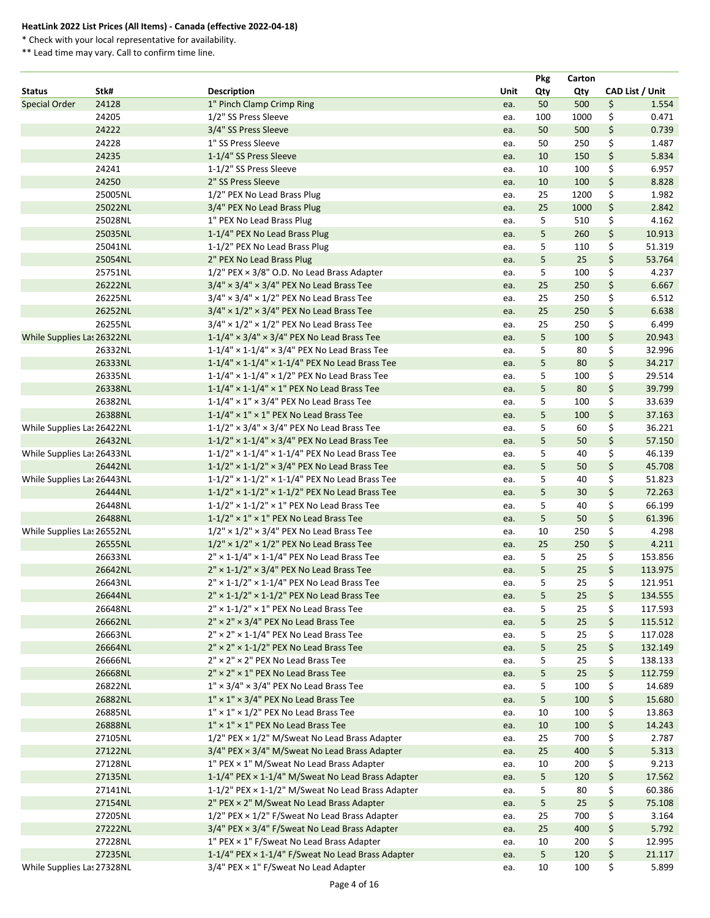\* Check with your local representative for availability.

|                            |         |                                                               |             | <b>Pkg</b> | Carton |                 |
|----------------------------|---------|---------------------------------------------------------------|-------------|------------|--------|-----------------|
| <b>Status</b>              | Stk#    | <b>Description</b>                                            | <b>Unit</b> | Qty        | Qty    | CAD List / Unit |
| <b>Special Order</b>       | 24128   | 1" Pinch Clamp Crimp Ring                                     | ea.         | 50         | 500    | \$<br>1.554     |
|                            | 24205   | 1/2" SS Press Sleeve                                          | ea.         | 100        | 1000   | \$<br>0.471     |
|                            | 24222   | 3/4" SS Press Sleeve                                          | ea.         | 50         | 500    | \$<br>0.739     |
|                            | 24228   | 1" SS Press Sleeve                                            | ea.         | 50         | 250    | \$<br>1.487     |
|                            | 24235   | 1-1/4" SS Press Sleeve                                        | ea.         | 10         | 150    | \$<br>5.834     |
|                            | 24241   | 1-1/2" SS Press Sleeve                                        | ea.         | 10         | 100    | \$<br>6.957     |
|                            | 24250   | 2" SS Press Sleeve                                            | ea.         | 10         | 100    | \$<br>8.828     |
|                            | 25005NL | 1/2" PEX No Lead Brass Plug                                   | ea.         | 25         | 1200   | \$<br>1.982     |
|                            | 25022NL | 3/4" PEX No Lead Brass Plug                                   | ea.         | 25         | 1000   | \$<br>2.842     |
|                            | 25028NL | 1" PEX No Lead Brass Plug                                     | ea.         | 5          | 510    | \$<br>4.162     |
|                            | 25035NL | 1-1/4" PEX No Lead Brass Plug                                 | ea.         | 5          | 260    | \$<br>10.913    |
|                            | 25041NL | 1-1/2" PEX No Lead Brass Plug                                 | ea.         | 5          | 110    | \$<br>51.319    |
|                            | 25054NL | 2" PEX No Lead Brass Plug                                     | ea.         | 5          | 25     | \$<br>53.764    |
|                            | 25751NL | $1/2$ " PEX $\times$ 3/8" O.D. No Lead Brass Adapter          | ea.         | 5          | 100    | \$<br>4.237     |
|                            | 26222NL | $3/4" \times 3/4" \times 3/4"$ PEX No Lead Brass Tee          | ea.         | 25         | 250    | \$<br>6.667     |
|                            | 26225NL | $3/4" \times 3/4" \times 1/2"$ PEX No Lead Brass Tee          | ea.         | 25         | 250    | \$<br>6.512     |
|                            | 26252NL | $3/4" \times 1/2" \times 3/4"$ PEX No Lead Brass Tee          | ea.         | 25         | 250    | \$<br>6.638     |
|                            | 26255NL | $3/4" \times 1/2" \times 1/2"$ PEX No Lead Brass Tee          | ea.         | 25         | 250    | \$<br>6.499     |
| While Supplies Las 26322NL |         | $1-1/4$ " × 3/4" × 3/4" PEX No Lead Brass Tee                 | ea.         | 5          | 100    | \$<br>20.943    |
|                            | 26332NL | $1-1/4$ " × $1-1/4$ " × 3/4" PEX No Lead Brass Tee            | ea.         | 5          | 80     | \$<br>32.996    |
|                            | 26333NL | $1-1/4$ " × $1-1/4$ " × $1-1/4$ " PEX No Lead Brass Tee       | ea.         | 5          | 80     | \$<br>34.217    |
|                            | 26335NL | $1-1/4$ " × $1-1/4$ " × $1/2$ " PEX No Lead Brass Tee         | ea.         | 5          | 100    | \$<br>29.514    |
|                            | 26338NL | $1-1/4$ " × $1-1/4$ " × $1$ " PEX No Lead Brass Tee           |             | 5          | 80     | \$<br>39.799    |
|                            | 26382NL | $1-1/4" \times 1" \times 3/4"$ PEX No Lead Brass Tee          | ea.         | 5          | 100    | \$<br>33.639    |
|                            | 26388NL | $1-1/4" \times 1" \times 1"$ PEX No Lead Brass Tee            | ea.         | 5          | 100    | \$<br>37.163    |
|                            |         | $1-1/2$ " × 3/4" × 3/4" PEX No Lead Brass Tee                 | ea.         |            |        | \$              |
| While Supplies Las 26422NL |         |                                                               | ea.         | 5<br>5     | 60     | \$<br>36.221    |
|                            | 26432NL | $1-1/2$ " × $1-1/4$ " × $3/4$ " PEX No Lead Brass Tee         | ea.         |            | 50     | 57.150          |
| While Supplies Las 26433NL |         | $1-1/2$ " × $1-1/4$ " × $1-1/4$ " PEX No Lead Brass Tee       | ea.         | 5          | 40     | \$<br>46.139    |
|                            | 26442NL | $1-1/2$ " × $1-1/2$ " × 3/4" PEX No Lead Brass Tee            | ea.         | 5          | 50     | \$<br>45.708    |
| While Supplies Las 26443NL |         | $1-1/2$ " × $1-1/2$ " × $1-1/4$ " PEX No Lead Brass Tee       | ea.         | 5          | 40     | \$<br>51.823    |
|                            | 26444NL | $1-1/2$ " × $1-1/2$ " × $1-1/2$ " PEX No Lead Brass Tee       | ea.         | 5          | 30     | \$<br>72.263    |
|                            | 26448NL | $1-1/2$ " × $1-1/2$ " × $1$ " PEX No Lead Brass Tee           | ea.         | 5          | 40     | \$<br>66.199    |
|                            | 26488NL | $1-1/2$ " × 1" × 1" PEX No Lead Brass Tee                     | ea.         | 5          | 50     | \$<br>61.396    |
| While Supplies Las 26552NL |         | $1/2$ " × $1/2$ " × $3/4$ " PEX No Lead Brass Tee             | ea.         | 10         | 250    | \$<br>4.298     |
|                            | 26555NL | $1/2" \times 1/2" \times 1/2"$ PEX No Lead Brass Tee          | ea.         | 25         | 250    | \$<br>4.211     |
|                            | 26633NL | $2'' \times 1 - 1/4'' \times 1 - 1/4''$ PEX No Lead Brass Tee | ea.         | 5          | 25     | \$<br>153.856   |
|                            | 26642NL | $2'' \times 1 - 1/2'' \times 3/4''$ PEX No Lead Brass Tee     | ea.         | 5          | 25     | \$<br>113.975   |
|                            | 26643NL | $2'' \times 1 - 1/2'' \times 1 - 1/4''$ PEX No Lead Brass Tee | ea.         | 5          | 25     | \$<br>121.951   |
|                            | 26644NL | $2'' \times 1 - 1/2'' \times 1 - 1/2''$ PEX No Lead Brass Tee | ea.         | 5          | 25     | \$<br>134.555   |
|                            | 26648NL | $2'' \times 1 - 1/2'' \times 1''$ PEX No Lead Brass Tee       | ea.         | 5          | 25     | \$<br>117.593   |
|                            | 26662NL | $2'' \times 2'' \times 3/4''$ PEX No Lead Brass Tee           | ea.         | 5          | 25     | \$<br>115.512   |
|                            | 26663NL | $2'' \times 2'' \times 1 - 1/4''$ PEX No Lead Brass Tee       | ea.         | 5          | 25     | \$<br>117.028   |
|                            | 26664NL | $2'' \times 2'' \times 1 - 1/2''$ PEX No Lead Brass Tee       | ea.         | 5          | 25     | \$<br>132.149   |
|                            | 26666NL | $2'' \times 2'' \times 2''$ PEX No Lead Brass Tee             | ea.         | 5          | 25     | \$<br>138.133   |
|                            | 26668NL | 2" × 2" × 1" PEX No Lead Brass Tee                            | ea.         | 5          | 25     | \$<br>112.759   |
|                            | 26822NL | $1'' \times 3/4'' \times 3/4''$ PEX No Lead Brass Tee         | ea.         | 5          | 100    | \$<br>14.689    |
|                            | 26882NL | $1'' \times 1'' \times 3/4''$ PEX No Lead Brass Tee           | ea.         | 5          | 100    | \$<br>15.680    |
|                            | 26885NL | $1'' \times 1'' \times 1/2''$ PEX No Lead Brass Tee           | ea.         | 10         | 100    | \$<br>13.863    |
|                            | 26888NL | $1'' \times 1'' \times 1''$ PEX No Lead Brass Tee             | ea.         | 10         | 100    | \$<br>14.243    |
|                            | 27105NL | 1/2" PEX × 1/2" M/Sweat No Lead Brass Adapter                 | ea.         | 25         | 700    | \$<br>2.787     |
|                            | 27122NL | 3/4" PEX × 3/4" M/Sweat No Lead Brass Adapter                 | ea.         | 25         | 400    | \$<br>5.313     |
|                            | 27128NL | 1" PEX × 1" M/Sweat No Lead Brass Adapter                     | ea.         | 10         | 200    | \$<br>9.213     |
|                            | 27135NL | 1-1/4" PEX × 1-1/4" M/Sweat No Lead Brass Adapter             | ea.         | 5          | 120    | \$<br>17.562    |
|                            | 27141NL | 1-1/2" PEX × 1-1/2" M/Sweat No Lead Brass Adapter             | ea.         | 5          | 80     | \$<br>60.386    |
|                            | 27154NL | 2" PEX × 2" M/Sweat No Lead Brass Adapter                     | ea.         | 5          | 25     | \$<br>75.108    |
|                            | 27205NL | 1/2" PEX × 1/2" F/Sweat No Lead Brass Adapter                 | ea.         | 25         | 700    | \$<br>3.164     |
|                            | 27222NL | 3/4" PEX × 3/4" F/Sweat No Lead Brass Adapter                 | ea.         | 25         | 400    | \$<br>5.792     |
|                            | 27228NL | 1" PEX × 1" F/Sweat No Lead Brass Adapter                     | ea.         | 10         | 200    | \$<br>12.995    |
|                            | 27235NL | 1-1/4" PEX × 1-1/4" F/Sweat No Lead Brass Adapter             | ea.         | 5          | 120    | \$<br>21.117    |
| While Supplies Las 27328NL |         | $3/4$ " PEX $\times$ 1" F/Sweat No Lead Adapter               | ea.         | 10         | 100    | \$<br>5.899     |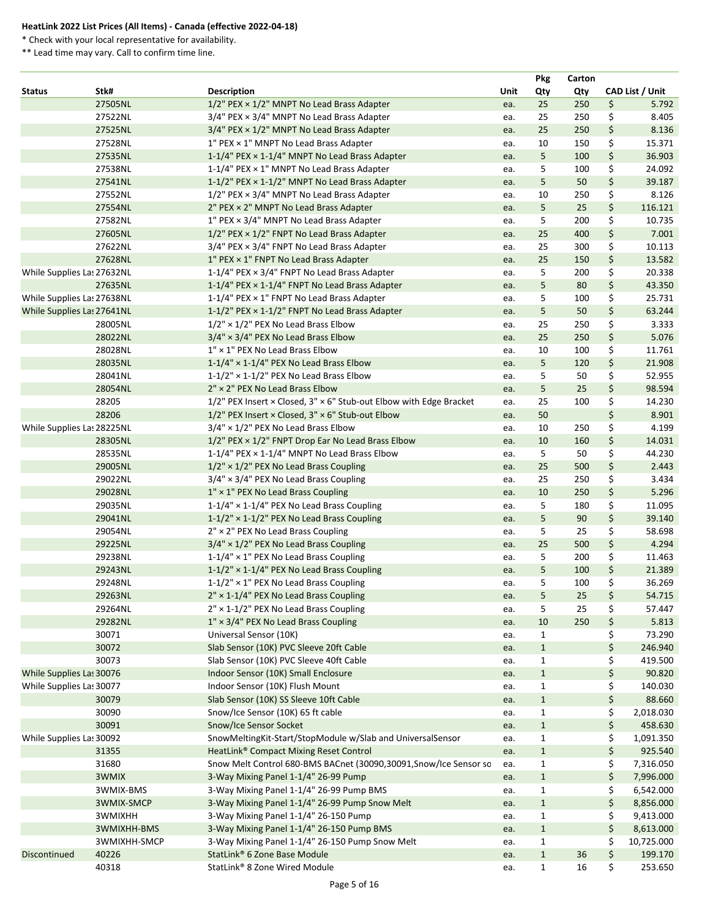\* Check with your local representative for availability.

|                            |              |                                                                          |      | <b>Pkg</b>   | Carton |                  |
|----------------------------|--------------|--------------------------------------------------------------------------|------|--------------|--------|------------------|
| <b>Status</b>              | Stk#         | <b>Description</b>                                                       | Unit | Qty          | Qty    | CAD List / Unit  |
|                            | 27505NL      | $1/2$ " PEX $\times$ $1/2$ " MNPT No Lead Brass Adapter                  | ea.  | 25           | 250    | \$<br>5.792      |
|                            | 27522NL      | 3/4" PEX × 3/4" MNPT No Lead Brass Adapter                               | ea.  | 25           | 250    | \$<br>8.405      |
|                            | 27525NL      | 3/4" PEX × 1/2" MNPT No Lead Brass Adapter                               | ea.  | 25           | 250    | \$<br>8.136      |
|                            | 27528NL      | $1"$ PEX $\times$ 1" MNPT No Lead Brass Adapter                          | ea.  | 10           | 150    | \$<br>15.371     |
|                            | 27535NL      | 1-1/4" PEX × 1-1/4" MNPT No Lead Brass Adapter                           | ea.  | 5            | 100    | \$<br>36.903     |
|                            | 27538NL      | 1-1/4" PEX × 1" MNPT No Lead Brass Adapter                               | ea.  | 5            | 100    | \$<br>24.092     |
|                            | 27541NL      | 1-1/2" PEX × 1-1/2" MNPT No Lead Brass Adapter                           | ea.  | 5            | 50     | \$<br>39.187     |
|                            | 27552NL      | 1/2" PEX × 3/4" MNPT No Lead Brass Adapter                               | ea.  | 10           | 250    | \$<br>8.126      |
|                            | 27554NL      | 2" PEX × 2" MNPT No Lead Brass Adapter                                   | ea.  | 5            | 25     | \$<br>116.121    |
|                            | 27582NL      | 1" PEX × 3/4" MNPT No Lead Brass Adapter                                 | ea.  | 5            | 200    | \$<br>10.735     |
|                            | 27605NL      | 1/2" PEX × 1/2" FNPT No Lead Brass Adapter                               | ea.  | 25           | 400    | \$<br>7.001      |
|                            | 27622NL      | 3/4" PEX × 3/4" FNPT No Lead Brass Adapter                               | ea.  | 25           | 300    | \$<br>10.113     |
|                            | 27628NL      | 1" PEX × 1" FNPT No Lead Brass Adapter                                   | ea.  | 25           | 150    | \$<br>13.582     |
| While Supplies Las 27632NL |              | 1-1/4" PEX × 3/4" FNPT No Lead Brass Adapter                             | ea.  | 5            | 200    | \$<br>20.338     |
|                            | 27635NL      | 1-1/4" PEX × 1-1/4" FNPT No Lead Brass Adapter                           | ea.  | 5            | 80     | \$<br>43.350     |
| While Supplies Las 27638NL |              | 1-1/4" PEX × 1" FNPT No Lead Brass Adapter                               | ea.  | 5            | 100    | \$<br>25.731     |
| While Supplies Las 27641NL |              | 1-1/2" PEX × 1-1/2" FNPT No Lead Brass Adapter                           | ea.  | 5            | 50     | \$<br>63.244     |
|                            | 28005NL      | $1/2" \times 1/2"$ PEX No Lead Brass Elbow                               | ea.  | 25           | 250    | \$<br>3.333      |
|                            | 28022NL      | $3/4" \times 3/4"$ PEX No Lead Brass Elbow                               | ea.  | 25           | 250    | \$<br>5.076      |
|                            | 28028NL      | 1" x 1" PEX No Lead Brass Elbow                                          |      | 10           | 100    | \$<br>11.761     |
|                            |              |                                                                          | ea.  |              |        | \$               |
|                            | 28035NL      | $1-1/4" \times 1-1/4"$ PEX No Lead Brass Elbow                           | ea.  | 5            | 120    | 21.908           |
|                            | 28041NL      | $1-1/2"$ × 1-1/2" PEX No Lead Brass Elbow                                | ea.  | 5            | 50     | \$<br>52.955     |
|                            | 28054NL      | 2" × 2" PEX No Lead Brass Elbow                                          | ea.  | 5            | 25     | \$<br>98.594     |
|                            | 28205        | $1/2$ " PEX Insert × Closed, $3''$ × 6" Stub-out Elbow with Edge Bracket | ea.  | 25           | 100    | \$<br>14.230     |
|                            | 28206        | 1/2" PEX Insert × Closed, 3" × 6" Stub-out Elbow                         | ea.  | 50           |        | \$<br>8.901      |
| While Supplies Las 28225NL |              | $3/4" \times 1/2"$ PEX No Lead Brass Elbow                               | ea.  | 10           | 250    | \$<br>4.199      |
|                            | 28305NL      | 1/2" PEX × 1/2" FNPT Drop Ear No Lead Brass Elbow                        | ea.  | 10           | 160    | \$<br>14.031     |
|                            | 28535NL      | 1-1/4" PEX × 1-1/4" MNPT No Lead Brass Elbow                             | ea.  | 5            | 50     | \$<br>44.230     |
|                            | 29005NL      | $1/2" \times 1/2"$ PEX No Lead Brass Coupling                            | ea.  | 25           | 500    | \$<br>2.443      |
|                            | 29022NL      | $3/4" \times 3/4"$ PEX No Lead Brass Coupling                            | ea.  | 25           | 250    | \$<br>3.434      |
|                            | 29028NL      | $1'' \times 1''$ PEX No Lead Brass Coupling                              | ea.  | 10           | 250    | \$<br>5.296      |
|                            | 29035NL      | $1-1/4" \times 1-1/4"$ PEX No Lead Brass Coupling                        | ea.  | 5            | 180    | \$<br>11.095     |
|                            | 29041NL      | $1-1/2$ " × $1-1/2$ " PEX No Lead Brass Coupling                         | ea.  | 5            | 90     | \$<br>39.140     |
|                            | 29054NL      | 2" × 2" PEX No Lead Brass Coupling                                       | ea.  | 5            | 25     | \$<br>58.698     |
|                            | 29225NL      | $3/4" \times 1/2"$ PEX No Lead Brass Coupling                            | ea.  | 25           | 500    | \$<br>4.294      |
|                            | 29238NL      | $1-1/4" \times 1"$ PEX No Lead Brass Coupling                            | ea.  | 5            | 200    | \$<br>11.463     |
|                            | 29243NL      | $1-1/2$ " × $1-1/4$ " PEX No Lead Brass Coupling                         | ea.  | 5            | 100    | \$<br>21.389     |
|                            | 29248NL      | $1-1/2" \times 1"$ PEX No Lead Brass Coupling                            | ea.  | 5            | 100    | \$<br>36.269     |
|                            | 29263NL      | $2'' \times 1 - 1/4''$ PEX No Lead Brass Coupling                        | ea.  | 5            | 25     | \$<br>54.715     |
|                            | 29264NL      | $2'' \times 1 - 1/2''$ PEX No Lead Brass Coupling                        | ea.  | 5            | 25     | \$<br>57.447     |
|                            | 29282NL      | $1'' \times 3/4''$ PEX No Lead Brass Coupling                            | ea.  | 10           | 250    | \$<br>5.813      |
|                            | 30071        | Universal Sensor (10K)                                                   | ea.  | $\mathbf{1}$ |        | \$<br>73.290     |
|                            | 30072        | Slab Sensor (10K) PVC Sleeve 20ft Cable                                  | ea.  | $\mathbf{1}$ |        | \$<br>246.940    |
|                            | 30073        | Slab Sensor (10K) PVC Sleeve 40ft Cable                                  | ea.  | $\mathbf{1}$ |        | \$<br>419.500    |
| While Supplies Las 30076   |              | Indoor Sensor (10K) Small Enclosure                                      | ea.  | $\mathbf{1}$ |        | \$<br>90.820     |
| While Supplies Las 30077   |              | Indoor Sensor (10K) Flush Mount                                          | ea.  | $\mathbf{1}$ |        | \$<br>140.030    |
|                            | 30079        | Slab Sensor (10K) SS Sleeve 10ft Cable                                   | ea.  | $\mathbf{1}$ |        | \$<br>88.660     |
|                            | 30090        | Snow/Ice Sensor (10K) 65 ft cable                                        | ea.  | $\mathbf{1}$ |        | \$<br>2,018.030  |
|                            | 30091        | <b>Snow/Ice Sensor Socket</b>                                            |      | $\mathbf{1}$ |        | \$<br>458.630    |
|                            |              | SnowMeltingKit-Start/StopModule w/Slab and UniversalSensor               | ea.  |              |        | \$               |
| While Supplies Las 30092   |              |                                                                          | ea.  | $\mathbf{1}$ |        | 1,091.350        |
|                            | 31355        | HeatLink <sup>®</sup> Compact Mixing Reset Control                       | ea.  | $\mathbf{1}$ |        | \$<br>925.540    |
|                            | 31680        | Snow Melt Control 680-BMS BACnet (30090,30091, Snow/Ice Sensor so        | ea.  | $\mathbf{1}$ |        | \$<br>7,316.050  |
|                            | 3WMIX        | 3-Way Mixing Panel 1-1/4" 26-99 Pump                                     | ea.  | $\mathbf{1}$ |        | \$<br>7,996.000  |
|                            | 3WMIX-BMS    | 3-Way Mixing Panel 1-1/4" 26-99 Pump BMS                                 | ea.  | $\mathbf{1}$ |        | \$<br>6,542.000  |
|                            | 3WMIX-SMCP   | 3-Way Mixing Panel 1-1/4" 26-99 Pump Snow Melt                           | ea.  | $\mathbf{1}$ |        | \$<br>8,856.000  |
|                            | 3WMIXHH      | 3-Way Mixing Panel 1-1/4" 26-150 Pump                                    | ea.  | $\mathbf{1}$ |        | \$<br>9,413.000  |
|                            | 3WMIXHH-BMS  | 3-Way Mixing Panel 1-1/4" 26-150 Pump BMS                                | ea.  | $\mathbf{1}$ |        | \$<br>8,613.000  |
|                            | 3WMIXHH-SMCP | 3-Way Mixing Panel 1-1/4" 26-150 Pump Snow Melt                          | ea.  | $\mathbf{1}$ |        | \$<br>10,725.000 |
| Discontinued               | 40226        | StatLink <sup>®</sup> 6 Zone Base Module                                 | ea.  | $\mathbf{1}$ | 36     | \$<br>199.170    |
|                            | 40318        | StatLink® 8 Zone Wired Module                                            | ea.  | $\mathbf{1}$ | 16     | \$<br>253.650    |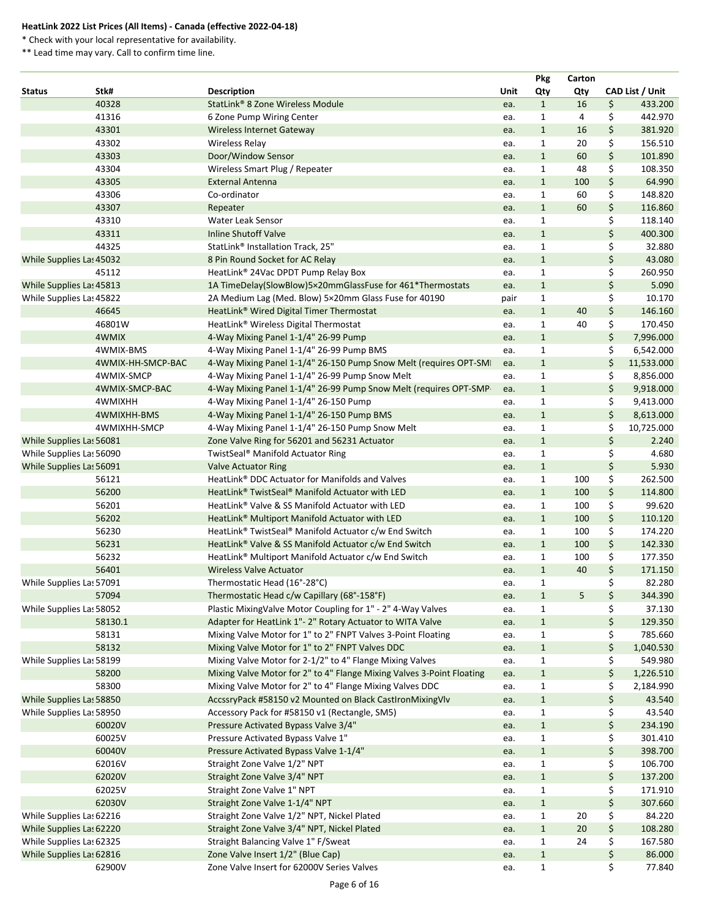\* Check with your local representative for availability.

|                          |                   |                                                                         |             | <b>Pkg</b>   | Carton         |     |                 |
|--------------------------|-------------------|-------------------------------------------------------------------------|-------------|--------------|----------------|-----|-----------------|
| <b>Status</b>            | Stk#              | <b>Description</b>                                                      | <b>Unit</b> | Qty          | Qty            |     | CAD List / Unit |
|                          | 40328             | StatLink® 8 Zone Wireless Module                                        | ea.         | $\mathbf{1}$ | 16             | \$  | 433.200         |
|                          | 41316             | 6 Zone Pump Wiring Center                                               | ea.         | 1            | 4              | \$  | 442.970         |
|                          | 43301             | <b>Wireless Internet Gateway</b>                                        | ea.         | $\mathbf{1}$ | 16             | \$  | 381.920         |
|                          | 43302             | <b>Wireless Relay</b>                                                   | ea.         | $\mathbf{1}$ | 20             | \$  | 156.510         |
|                          | 43303             | Door/Window Sensor                                                      | ea.         | $\mathbf{1}$ | 60             | \$  | 101.890         |
|                          | 43304             | Wireless Smart Plug / Repeater                                          | ea.         | $\mathbf{1}$ | 48             | \$  | 108.350         |
|                          | 43305             | <b>External Antenna</b>                                                 | ea.         | $\mathbf{1}$ | 100            | \$  | 64.990          |
|                          | 43306             | Co-ordinator                                                            | ea.         | $\mathbf{1}$ | 60             | \$  | 148.820         |
|                          | 43307             | Repeater                                                                | ea.         | $\mathbf{1}$ | 60             | \$  | 116.860         |
|                          | 43310             | <b>Water Leak Sensor</b>                                                | ea.         | $\mathbf{1}$ |                | \$  | 118.140         |
|                          | 43311             | <b>Inline Shutoff Valve</b>                                             | ea.         | $\mathbf{1}$ |                | \$  | 400.300         |
|                          | 44325             | StatLink <sup>®</sup> Installation Track, 25"                           | ea.         | $\mathbf{1}$ |                | \$  | 32.880          |
| While Supplies Las 45032 |                   | 8 Pin Round Socket for AC Relay                                         | ea.         | $\mathbf{1}$ |                | \$  | 43.080          |
|                          | 45112             | HeatLink® 24Vac DPDT Pump Relay Box                                     | ea.         | $\mathbf{1}$ |                | \$  | 260.950         |
| While Supplies Las 45813 |                   | 1A TimeDelay(SlowBlow)5x20mmGlassFuse for 461*Thermostats               | ea.         | $\mathbf{1}$ |                | \$  | 5.090           |
|                          |                   | 2A Medium Lag (Med. Blow) 5x20mm Glass Fuse for 40190                   |             | $\mathbf{1}$ |                | \$  | 10.170          |
| While Supplies Las 45822 |                   |                                                                         | pair        |              |                |     |                 |
|                          | 46645             | HeatLink <sup>®</sup> Wired Digital Timer Thermostat                    | ea.         | $\mathbf{1}$ | 40             | \$  | 146.160         |
|                          | 46801W            | HeatLink® Wireless Digital Thermostat                                   | ea.         | $\mathbf{1}$ | 40             | \$  | 170.450         |
|                          | 4WMIX             | 4-Way Mixing Panel 1-1/4" 26-99 Pump                                    | ea.         | $\mathbf{1}$ |                | \$  | 7,996.000       |
|                          | 4WMIX-BMS         | 4-Way Mixing Panel 1-1/4" 26-99 Pump BMS                                | ea.         | $\mathbf{1}$ |                | \$  | 6,542.000       |
|                          | 4WMIX-HH-SMCP-BAC | 4-Way Mixing Panel 1-1/4" 26-150 Pump Snow Melt (requires OPT-SM        | ea.         | $\mathbf{1}$ |                | \$  | 11,533.000      |
|                          | 4WMIX-SMCP        | 4-Way Mixing Panel 1-1/4" 26-99 Pump Snow Melt                          | ea.         | $\mathbf{1}$ |                | \$. | 8,856.000       |
|                          | 4WMIX-SMCP-BAC    | 4-Way Mixing Panel 1-1/4" 26-99 Pump Snow Melt (requires OPT-SMP        | ea.         | $\mathbf{1}$ |                | \$  | 9,918.000       |
|                          | 4WMIXHH           | 4-Way Mixing Panel 1-1/4" 26-150 Pump                                   | ea.         | $\mathbf{1}$ |                | \$  | 9,413.000       |
|                          | 4WMIXHH-BMS       | 4-Way Mixing Panel 1-1/4" 26-150 Pump BMS                               | ea.         | $\mathbf{1}$ |                | \$  | 8,613.000       |
|                          | 4WMIXHH-SMCP      | 4-Way Mixing Panel 1-1/4" 26-150 Pump Snow Melt                         | ea.         | 1            |                | \$  | 10,725.000      |
| While Supplies Las 56081 |                   | Zone Valve Ring for 56201 and 56231 Actuator                            | ea.         | $\mathbf{1}$ |                | \$  | 2.240           |
| While Supplies Las 56090 |                   | TwistSeal <sup>®</sup> Manifold Actuator Ring                           | ea.         | $\mathbf{1}$ |                | \$  | 4.680           |
| While Supplies Las 56091 |                   | <b>Valve Actuator Ring</b>                                              | ea.         | $\mathbf{1}$ |                | \$  | 5.930           |
|                          | 56121             | HeatLink <sup>®</sup> DDC Actuator for Manifolds and Valves             | ea.         | $\mathbf{1}$ | 100            | \$  | 262.500         |
|                          | 56200             | HeatLink <sup>®</sup> TwistSeal <sup>®</sup> Manifold Actuator with LED | ea.         | $\mathbf{1}$ | 100            | \$  | 114.800         |
|                          | 56201             | HeatLink® Valve & SS Manifold Actuator with LED                         | ea.         | 1            | 100            | \$  | 99.620          |
|                          | 56202             | HeatLink <sup>®</sup> Multiport Manifold Actuator with LED              | ea.         | $\mathbf{1}$ | 100            | \$  | 110.120         |
|                          | 56230             | HeatLink® TwistSeal® Manifold Actuator c/w End Switch                   | ea.         | $\mathbf{1}$ | 100            | \$  | 174.220         |
|                          | 56231             | HeatLink <sup>®</sup> Valve & SS Manifold Actuator c/w End Switch       | ea.         | $\mathbf{1}$ | 100            | \$  | 142.330         |
|                          | 56232             | HeatLink <sup>®</sup> Multiport Manifold Actuator c/w End Switch        | ea.         | $\mathbf{1}$ | 100            | \$  | 177.350         |
|                          | 56401             | <b>Wireless Valve Actuator</b>                                          | ea.         | $\mathbf{1}$ | 40             | \$  | 171.150         |
| While Supplies Las 57091 |                   | Thermostatic Head (16°-28°C)                                            | ea.         | 1            |                | \$  | 82.280          |
|                          | 57094             | Thermostatic Head c/w Capillary (68°-158°F)                             | ea.         | $\mathbf{1}$ | 5 <sup>5</sup> | \$  | 344.390         |
| While Supplies Las 58052 |                   | Plastic MixingValve Motor Coupling for 1" - 2" 4-Way Valves             | ea.         | $\mathbf{1}$ |                | \$  | 37.130          |
|                          | 58130.1           | Adapter for HeatLink 1"- 2" Rotary Actuator to WITA Valve               | ea.         | $\mathbf{1}$ |                | \$  | 129.350         |
|                          | 58131             | Mixing Valve Motor for 1" to 2" FNPT Valves 3-Point Floating            | ea.         | $\mathbf{1}$ |                | \$  | 785.660         |
|                          | 58132             | Mixing Valve Motor for 1" to 2" FNPT Valves DDC                         | ea.         | $\mathbf{1}$ |                | \$  | 1,040.530       |
| While Supplies Las 58199 |                   | Mixing Valve Motor for 2-1/2" to 4" Flange Mixing Valves                | ea.         | $\mathbf{1}$ |                | \$  | 549.980         |
|                          | 58200             | Mixing Valve Motor for 2" to 4" Flange Mixing Valves 3-Point Floating   | ea.         | $\mathbf{1}$ |                | \$  | 1,226.510       |
|                          | 58300             | Mixing Valve Motor for 2" to 4" Flange Mixing Valves DDC                |             | $\mathbf{1}$ |                | \$  |                 |
|                          |                   |                                                                         | ea.         |              |                |     | 2,184.990       |
| While Supplies Las 58850 |                   | AccssryPack #58150 v2 Mounted on Black CastIronMixingVlv                | ea.         | $\mathbf{1}$ |                | \$  | 43.540          |
| While Supplies Las 58950 |                   | Accessory Pack for #58150 v1 (Rectangle, SM5)                           | ea.         | $\mathbf{1}$ |                | \$  | 43.540          |
|                          | 60020V            | Pressure Activated Bypass Valve 3/4"                                    | ea.         | $\mathbf{1}$ |                | \$  | 234.190         |
|                          | 60025V            | Pressure Activated Bypass Valve 1"                                      | ea.         | 1            |                | \$  | 301.410         |
|                          | 60040V            | Pressure Activated Bypass Valve 1-1/4"                                  | ea.         | $\mathbf{1}$ |                | \$  | 398.700         |
|                          | 62016V            | Straight Zone Valve 1/2" NPT                                            | ea.         | $\mathbf{1}$ |                | \$  | 106.700         |
|                          | 62020V            | Straight Zone Valve 3/4" NPT                                            | ea.         | $\mathbf{1}$ |                | \$  | 137.200         |
|                          | 62025V            | Straight Zone Valve 1" NPT                                              | ea.         | $\mathbf{1}$ |                | \$  | 171.910         |
|                          | 62030V            | Straight Zone Valve 1-1/4" NPT                                          | ea.         | $\mathbf{1}$ |                | \$  | 307.660         |
| While Supplies Las 62216 |                   | Straight Zone Valve 1/2" NPT, Nickel Plated                             | ea.         | 1            | 20             | \$  | 84.220          |
| While Supplies Las 62220 |                   | Straight Zone Valve 3/4" NPT, Nickel Plated                             | ea.         | $\mathbf{1}$ | 20             | \$  | 108.280         |
| While Supplies Las 62325 |                   | Straight Balancing Valve 1" F/Sweat                                     | ea.         | $\mathbf{1}$ | 24             | \$  | 167.580         |
| While Supplies Las 62816 |                   | Zone Valve Insert 1/2" (Blue Cap)                                       | ea.         | $\mathbf{1}$ |                | \$  | 86.000          |
|                          | 62900V            | Zone Valve Insert for 62000V Series Valves                              | ea.         | $\mathbf{1}$ |                | \$  | 77.840          |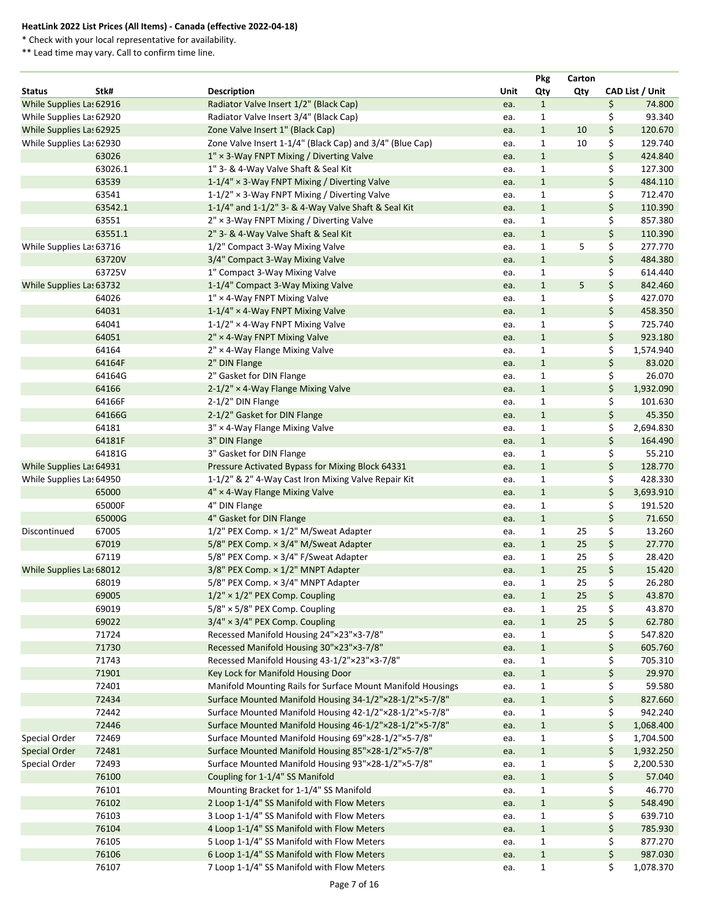\* Check with your local representative for availability.

|                          |         |                                                             |             | <b>Pkg</b>                   | Carton |          |                 |
|--------------------------|---------|-------------------------------------------------------------|-------------|------------------------------|--------|----------|-----------------|
| <b>Status</b>            | Stk#    | <b>Description</b>                                          | <b>Unit</b> | Qty                          | Qty    |          | CAD List / Unit |
| While Supplies Las 62916 |         | Radiator Valve Insert 1/2" (Black Cap)                      | ea.         | $\mathbf{1}$                 |        | \$       | 74.800          |
| While Supplies Las 62920 |         | Radiator Valve Insert 3/4" (Black Cap)                      | ea.         | $\mathbf{1}$                 |        | \$       | 93.340          |
| While Supplies Las 62925 |         | Zone Valve Insert 1" (Black Cap)                            | ea.         | $\mathbf{1}$                 | 10     | \$       | 120.670         |
| While Supplies Las 62930 |         | Zone Valve Insert 1-1/4" (Black Cap) and 3/4" (Blue Cap)    | ea.         | $\mathbf{1}$                 | 10     | \$       | 129.740         |
|                          | 63026   | $1'' \times 3$ -Way FNPT Mixing / Diverting Valve           | ea.         | $\mathbf{1}$                 |        | \$       | 424.840         |
|                          | 63026.1 | 1" 3- & 4-Way Valve Shaft & Seal Kit                        | ea.         | $\mathbf{1}$                 |        | \$       | 127.300         |
|                          | 63539   | 1-1/4" × 3-Way FNPT Mixing / Diverting Valve                | ea.         | $\mathbf{1}$                 |        | \$       | 484.110         |
|                          | 63541   | 1-1/2" × 3-Way FNPT Mixing / Diverting Valve                | ea.         | $\mathbf{1}$                 |        | \$       | 712.470         |
|                          | 63542.1 | 1-1/4" and 1-1/2" 3- & 4-Way Valve Shaft & Seal Kit         | ea.         | $\mathbf{1}$                 |        | \$       | 110.390         |
|                          | 63551   | 2" × 3-Way FNPT Mixing / Diverting Valve                    | ea.         | $\mathbf{1}$                 |        | \$       | 857.380         |
|                          | 63551.1 | 2" 3- & 4-Way Valve Shaft & Seal Kit                        | ea.         | $\mathbf{1}$                 |        | \$       | 110.390         |
| While Supplies Las 63716 |         | 1/2" Compact 3-Way Mixing Valve                             | ea.         | $\mathbf{1}$                 | 5      | \$       | 277.770         |
|                          | 63720V  | 3/4" Compact 3-Way Mixing Valve                             | ea.         | $\mathbf{1}$                 |        | \$       | 484.380         |
|                          | 63725V  | 1" Compact 3-Way Mixing Valve                               | ea.         | $\mathbf{1}$                 |        | \$       | 614.440         |
| While Supplies Las 63732 |         | 1-1/4" Compact 3-Way Mixing Valve                           | ea.         | $\mathbf{1}$                 | 5      | \$       | 842.460         |
|                          | 64026   | $1'' \times 4$ -Way FNPT Mixing Valve                       | ea.         | $\mathbf{1}$                 |        | \$       | 427.070         |
|                          | 64031   | $1-1/4" \times 4$ -Way FNPT Mixing Valve                    | ea.         | $\mathbf{1}$                 |        | \$       | 458.350         |
|                          | 64041   | $1-1/2$ " × 4-Way FNPT Mixing Valve                         | ea.         | $\mathbf{1}$                 |        | \$       | 725.740         |
|                          | 64051   | 2" × 4-Way FNPT Mixing Valve                                | ea.         | $\mathbf{1}$                 |        | \$       | 923.180         |
|                          | 64164   | 2" × 4-Way Flange Mixing Valve                              | ea.         | $\mathbf{1}$                 |        | \$       | 1,574.940       |
|                          | 64164F  | 2" DIN Flange                                               | ea.         | $\mathbf{1}$                 |        | \$       | 83.020          |
|                          | 64164G  | 2" Gasket for DIN Flange                                    | ea.         | $\mathbf{1}$                 |        | \$       | 26.070          |
|                          | 64166   | 2-1/2" × 4-Way Flange Mixing Valve                          | ea.         | $\mathbf{1}$                 |        | \$       | 1,932.090       |
|                          | 64166F  | 2-1/2" DIN Flange                                           | ea.         | $\mathbf{1}$                 |        | \$       | 101.630         |
|                          | 64166G  | 2-1/2" Gasket for DIN Flange                                | ea.         | $\mathbf{1}$                 |        | \$       | 45.350          |
|                          | 64181   | 3" × 4-Way Flange Mixing Valve                              | ea.         | $\mathbf{1}$                 |        | \$       | 2,694.830       |
|                          | 64181F  | 3" DIN Flange                                               | ea.         | $\mathbf{1}$                 |        | \$       | 164.490         |
|                          | 64181G  | 3" Gasket for DIN Flange                                    | ea.         | 1                            |        | \$       | 55.210          |
| While Supplies Las 64931 |         | Pressure Activated Bypass for Mixing Block 64331            | ea.         | $\mathbf{1}$                 |        | \$       | 128.770         |
| While Supplies Las 64950 |         | 1-1/2" & 2" 4-Way Cast Iron Mixing Valve Repair Kit         | ea.         | $\mathbf{1}$                 |        | \$       | 428.330         |
|                          | 65000   | 4" × 4-Way Flange Mixing Valve                              | ea.         | $\mathbf{1}$                 |        | \$       | 3,693.910       |
|                          | 65000F  | 4" DIN Flange                                               | ea.         | $\mathbf{1}$                 |        | \$       | 191.520         |
|                          | 65000G  | 4" Gasket for DIN Flange                                    | ea.         | $1\,$                        |        | \$       | 71.650          |
| Discontinued             | 67005   | 1/2" PEX Comp. × 1/2" M/Sweat Adapter                       | ea.         | 1                            | 25     | \$       | 13.260          |
|                          | 67019   | 5/8" PEX Comp. × 3/4" M/Sweat Adapter                       | ea.         | $\mathbf{1}$                 | 25     | \$       | 27.770          |
|                          | 67119   | 5/8" PEX Comp. x 3/4" F/Sweat Adapter                       | ea.         | $\mathbf{1}$                 | 25     | \$       | 28.420          |
| While Supplies Las 68012 |         | 3/8" PEX Comp. x 1/2" MNPT Adapter                          | ea.         | $\mathbf{1}$                 | 25     | \$       | 15.420          |
|                          | 68019   | 5/8" PEX Comp. x 3/4" MNPT Adapter                          |             | $\mathbf{1}$                 | 25     | \$       | 26.280          |
|                          | 69005   | $1/2" \times 1/2"$ PEX Comp. Coupling                       | ea.         | $\mathbf{1}$                 | 25     | \$       | 43.870          |
|                          | 69019   | $5/8" \times 5/8"$ PEX Comp. Coupling                       | ea.         |                              | 25     | \$       | 43.870          |
|                          | 69022   | $3/4" \times 3/4"$ PEX Comp. Coupling                       | ea.         | $\mathbf{1}$                 | 25     |          | 62.780          |
|                          | 71724   | Recessed Manifold Housing 24"×23"×3-7/8"                    | ea.         | $\mathbf{1}$<br>$\mathbf{1}$ |        | \$<br>\$ | 547.820         |
|                          |         |                                                             | ea.         |                              |        |          |                 |
|                          | 71730   | Recessed Manifold Housing 30"×23"×3-7/8"                    | ea.         | $\mathbf{1}$                 |        | \$       | 605.760         |
|                          | 71743   | Recessed Manifold Housing 43-1/2"×23"×3-7/8"                | ea.         | $\mathbf{1}$                 |        | \$       | 705.310         |
|                          | 71901   | Key Lock for Manifold Housing Door                          | ea.         | $\mathbf{1}$                 |        | \$       | 29.970          |
|                          | 72401   | Manifold Mounting Rails for Surface Mount Manifold Housings | ea.         | 1                            |        | \$       | 59.580          |
|                          | 72434   | Surface Mounted Manifold Housing 34-1/2"×28-1/2"×5-7/8"     | ea.         | $\mathbf{1}$                 |        | \$       | 827.660         |
|                          | 72442   | Surface Mounted Manifold Housing 42-1/2"×28-1/2"×5-7/8"     | ea.         | $\mathbf{1}$                 |        | \$       | 942.240         |
|                          | 72446   | Surface Mounted Manifold Housing 46-1/2"×28-1/2"×5-7/8"     | ea.         | $\mathbf{1}$                 |        | \$       | 1,068.400       |
| Special Order            | 72469   | Surface Mounted Manifold Housing 69"×28-1/2"×5-7/8"         | ea.         | $\mathbf{1}$                 |        | \$       | 1,704.500       |
| <b>Special Order</b>     | 72481   | Surface Mounted Manifold Housing 85"×28-1/2"×5-7/8"         | ea.         | $\mathbf{1}$                 |        | \$       | 1,932.250       |
| Special Order            | 72493   | Surface Mounted Manifold Housing 93"×28-1/2"×5-7/8"         | ea.         | 1                            |        | \$       | 2,200.530       |
|                          | 76100   | Coupling for 1-1/4" SS Manifold                             | ea.         | $\mathbf{1}$                 |        | \$       | 57.040          |
|                          | 76101   | Mounting Bracket for 1-1/4" SS Manifold                     | ea.         | $\mathbf{1}$                 |        | \$       | 46.770          |
|                          | 76102   | 2 Loop 1-1/4" SS Manifold with Flow Meters                  | ea.         | $\mathbf{1}$                 |        | \$       | 548.490         |
|                          | 76103   | 3 Loop 1-1/4" SS Manifold with Flow Meters                  | ea.         | $\mathbf{1}$                 |        | \$       | 639.710         |
|                          | 76104   | 4 Loop 1-1/4" SS Manifold with Flow Meters                  | ea.         | $\mathbf{1}$                 |        | \$       | 785.930         |
|                          | 76105   | 5 Loop 1-1/4" SS Manifold with Flow Meters                  | ea.         | 1                            |        | \$       | 877.270         |
|                          | 76106   | 6 Loop 1-1/4" SS Manifold with Flow Meters                  | ea.         | $\mathbf{1}$                 |        | \$       | 987.030         |
|                          | 76107   | 7 Loop 1-1/4" SS Manifold with Flow Meters                  | ea.         | $\mathbf{1}$                 |        | \$       | 1,078.370       |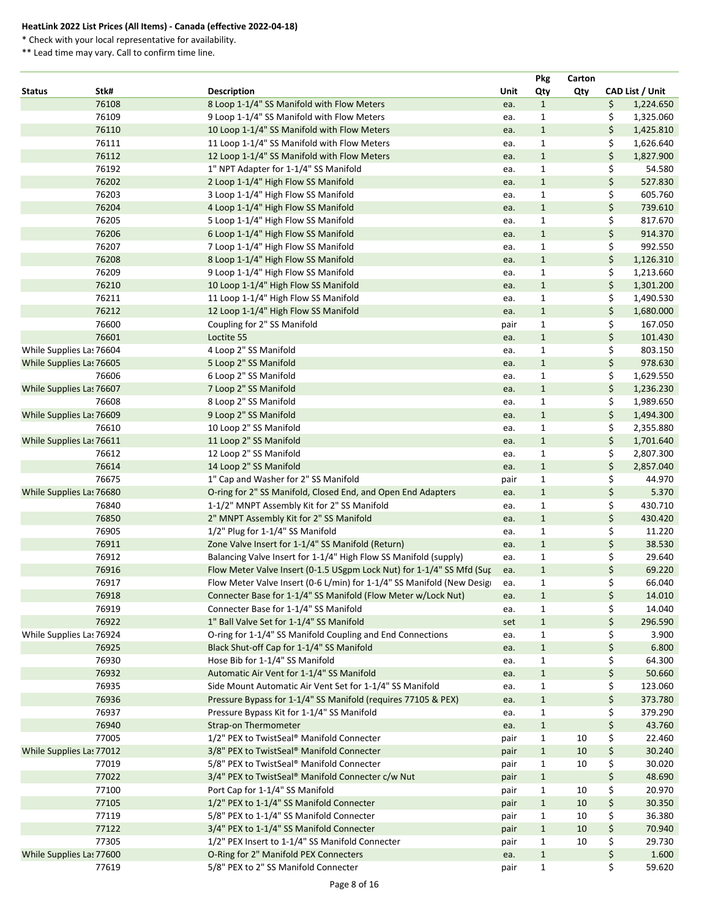\* Check with your local representative for availability.

|               |                          |                                                                        |      | <b>Pkg</b>   | Carton |                 |
|---------------|--------------------------|------------------------------------------------------------------------|------|--------------|--------|-----------------|
| <b>Status</b> | Stk#                     | <b>Description</b>                                                     | Unit | Qty          | Qty    | CAD List / Unit |
|               | 76108                    | 8 Loop 1-1/4" SS Manifold with Flow Meters                             | ea.  | $\mathbf{1}$ |        | \$<br>1,224.650 |
|               | 76109                    | 9 Loop 1-1/4" SS Manifold with Flow Meters                             | ea.  | $\mathbf{1}$ |        | \$<br>1,325.060 |
|               | 76110                    | 10 Loop 1-1/4" SS Manifold with Flow Meters                            | ea.  | $\mathbf{1}$ |        | \$<br>1,425.810 |
|               | 76111                    | 11 Loop 1-1/4" SS Manifold with Flow Meters                            | ea.  | $\mathbf{1}$ |        | \$<br>1,626.640 |
|               | 76112                    | 12 Loop 1-1/4" SS Manifold with Flow Meters                            | ea.  | $\mathbf{1}$ |        | \$<br>1,827.900 |
|               | 76192                    | 1" NPT Adapter for 1-1/4" SS Manifold                                  | ea.  | $\mathbf 1$  |        | \$<br>54.580    |
|               | 76202                    | 2 Loop 1-1/4" High Flow SS Manifold                                    | ea.  | $\mathbf{1}$ |        | \$<br>527.830   |
|               | 76203                    | 3 Loop 1-1/4" High Flow SS Manifold                                    | ea.  | $\mathbf{1}$ |        | \$<br>605.760   |
|               | 76204                    | 4 Loop 1-1/4" High Flow SS Manifold                                    | ea.  | $\mathbf{1}$ |        | \$<br>739.610   |
|               | 76205                    | 5 Loop 1-1/4" High Flow SS Manifold                                    | ea.  | $\mathbf{1}$ |        | \$<br>817.670   |
|               | 76206                    | 6 Loop 1-1/4" High Flow SS Manifold                                    | ea.  | $\mathbf{1}$ |        | \$<br>914.370   |
|               | 76207                    | 7 Loop 1-1/4" High Flow SS Manifold                                    | ea.  | $\mathbf{1}$ |        | \$<br>992.550   |
|               | 76208                    | 8 Loop 1-1/4" High Flow SS Manifold                                    | ea.  | $\mathbf{1}$ |        | \$<br>1,126.310 |
|               | 76209                    | 9 Loop 1-1/4" High Flow SS Manifold                                    | ea.  | $\mathbf{1}$ |        | \$<br>1,213.660 |
|               | 76210                    | 10 Loop 1-1/4" High Flow SS Manifold                                   | ea.  | $\mathbf{1}$ |        | \$<br>1,301.200 |
|               | 76211                    | 11 Loop 1-1/4" High Flow SS Manifold                                   | ea.  | $\mathbf{1}$ |        | \$<br>1,490.530 |
|               | 76212                    | 12 Loop 1-1/4" High Flow SS Manifold                                   | ea.  | $\mathbf{1}$ |        | \$<br>1,680.000 |
|               | 76600                    | Coupling for 2" SS Manifold                                            | pair | $\mathbf{1}$ |        | \$<br>167.050   |
|               | 76601                    | Loctite 55                                                             | ea.  | $\mathbf{1}$ |        | \$<br>101.430   |
|               | While Supplies Las 76604 | 4 Loop 2" SS Manifold                                                  | ea.  | $\mathbf{1}$ |        | \$<br>803.150   |
|               | While Supplies Las 76605 | 5 Loop 2" SS Manifold                                                  | ea.  | $\mathbf{1}$ |        | \$<br>978.630   |
|               | 76606                    | 6 Loop 2" SS Manifold                                                  | ea.  | 1            |        | \$<br>1,629.550 |
|               | While Supplies Las 76607 | 7 Loop 2" SS Manifold                                                  | ea.  | $\mathbf{1}$ |        | \$<br>1,236.230 |
|               | 76608                    | 8 Loop 2" SS Manifold                                                  | ea.  | $\mathbf{1}$ |        | \$<br>1,989.650 |
|               | While Supplies Las 76609 | 9 Loop 2" SS Manifold                                                  | ea.  | $\mathbf{1}$ |        | \$<br>1,494.300 |
|               | 76610                    | 10 Loop 2" SS Manifold                                                 |      | $\mathbf{1}$ |        | \$<br>2,355.880 |
|               | While Supplies Las 76611 | 11 Loop 2" SS Manifold                                                 | ea.  |              |        | \$              |
|               |                          |                                                                        | ea.  | $\mathbf{1}$ |        | 1,701.640       |
|               | 76612                    | 12 Loop 2" SS Manifold                                                 | ea.  | $\mathbf{1}$ |        | \$<br>2,807.300 |
|               | 76614                    | 14 Loop 2" SS Manifold                                                 | ea.  | $\mathbf{1}$ |        | \$<br>2,857.040 |
|               | 76675                    | 1" Cap and Washer for 2" SS Manifold                                   | pair | $\mathbf{1}$ |        | \$<br>44.970    |
|               | While Supplies Las 76680 | O-ring for 2" SS Manifold, Closed End, and Open End Adapters           | ea.  | $\mathbf{1}$ |        | \$<br>5.370     |
|               | 76840                    | 1-1/2" MNPT Assembly Kit for 2" SS Manifold                            | ea.  | $\mathbf 1$  |        | \$<br>430.710   |
|               | 76850                    | 2" MNPT Assembly Kit for 2" SS Manifold                                | ea.  | $\mathbf{1}$ |        | \$<br>430.420   |
|               | 76905                    | 1/2" Plug for 1-1/4" SS Manifold                                       | ea.  | 1            |        | 11.220          |
|               | 76911                    | Zone Valve Insert for 1-1/4" SS Manifold (Return)                      | ea.  | $\mathbf{1}$ |        | \$<br>38.530    |
|               | 76912                    | Balancing Valve Insert for 1-1/4" High Flow SS Manifold (supply)       | ea.  | $\mathbf{1}$ |        | \$<br>29.640    |
|               | 76916                    | Flow Meter Valve Insert (0-1.5 USgpm Lock Nut) for 1-1/4" SS Mfd (Sur  | ea.  | $\mathbf{1}$ |        | \$<br>69.220    |
|               | 76917                    | Flow Meter Valve Insert (0-6 L/min) for 1-1/4" SS Manifold (New Design | ea.  | $\mathbf{1}$ |        | \$<br>66.040    |
|               | 76918                    | Connecter Base for 1-1/4" SS Manifold (Flow Meter w/Lock Nut)          | ea.  | $\mathbf{1}$ |        | \$<br>14.010    |
|               | 76919                    | Connecter Base for 1-1/4" SS Manifold                                  | ea.  | 1            |        | \$<br>14.040    |
|               | 76922                    | 1" Ball Valve Set for 1-1/4" SS Manifold                               | set  | $\mathbf{1}$ |        | \$<br>296.590   |
|               | While Supplies Las 76924 | O-ring for 1-1/4" SS Manifold Coupling and End Connections             | ea.  | $\mathbf{1}$ |        | 3.900           |
|               | 76925                    | Black Shut-off Cap for 1-1/4" SS Manifold                              | ea.  | $\mathbf{1}$ |        | \$<br>6.800     |
|               | 76930                    | Hose Bib for 1-1/4" SS Manifold                                        | ea.  | $\mathbf{1}$ |        | \$<br>64.300    |
|               | 76932                    | Automatic Air Vent for 1-1/4" SS Manifold                              | ea.  | $\mathbf{1}$ |        | \$<br>50.660    |
|               | 76935                    | Side Mount Automatic Air Vent Set for 1-1/4" SS Manifold               | ea.  | 1            |        | \$<br>123.060   |
|               | 76936                    | Pressure Bypass for 1-1/4" SS Manifold (requires 77105 & PEX)          | ea.  | $\mathbf{1}$ |        | \$<br>373.780   |
|               | 76937                    | Pressure Bypass Kit for 1-1/4" SS Manifold                             | ea.  | $\mathbf 1$  |        | \$<br>379.290   |
|               | 76940                    | <b>Strap-on Thermometer</b>                                            | ea.  | $\mathbf{1}$ |        | \$<br>43.760    |
|               | 77005                    | 1/2" PEX to TwistSeal® Manifold Connecter                              | pair | $\mathbf{1}$ | 10     | \$<br>22.460    |
|               | While Supplies Las 77012 | 3/8" PEX to TwistSeal® Manifold Connecter                              | pair | $\mathbf{1}$ | 10     | \$<br>30.240    |
|               | 77019                    | 5/8" PEX to TwistSeal® Manifold Connecter                              | pair | $\mathbf{1}$ | 10     | \$<br>30.020    |
|               | 77022                    | 3/4" PEX to TwistSeal® Manifold Connecter c/w Nut                      | pair | $\mathbf{1}$ |        | \$<br>48.690    |
|               | 77100                    | Port Cap for 1-1/4" SS Manifold                                        | pair | $\mathbf{1}$ | 10     | \$<br>20.970    |
|               | 77105                    | 1/2" PEX to 1-1/4" SS Manifold Connecter                               | pair | $\mathbf{1}$ | 10     | \$<br>30.350    |
|               | 77119                    | 5/8" PEX to 1-1/4" SS Manifold Connecter                               | pair | $\mathbf{1}$ | 10     | \$<br>36.380    |
|               | 77122                    | 3/4" PEX to 1-1/4" SS Manifold Connecter                               | pair | $\mathbf{1}$ | 10     | \$<br>70.940    |
|               | 77305                    | 1/2" PEX Insert to 1-1/4" SS Manifold Connecter                        | pair | $\mathbf{1}$ | 10     | \$<br>29.730    |
|               | While Supplies Las 77600 | O-Ring for 2" Manifold PEX Connecters                                  | ea.  | $\mathbf{1}$ |        | 1.600           |
|               | 77619                    | 5/8" PEX to 2" SS Manifold Connecter                                   | pair | $\mathbf{1}$ |        | \$<br>59.620    |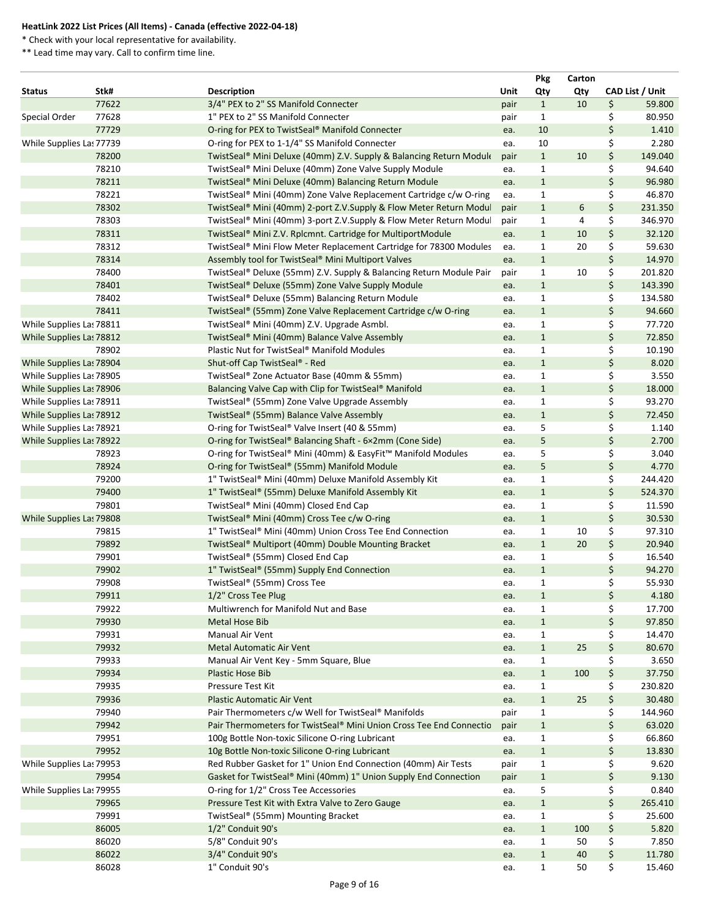\* Check with your local representative for availability.

|                          |                |                                                                                                        |            | <b>Pkg</b>                   | Carton |          |                 |
|--------------------------|----------------|--------------------------------------------------------------------------------------------------------|------------|------------------------------|--------|----------|-----------------|
| <b>Status</b>            | Stk#           | <b>Description</b>                                                                                     | Unit       | Qty                          | Qty    |          | CAD List / Unit |
|                          | 77622          | 3/4" PEX to 2" SS Manifold Connecter                                                                   | pair       | $\mathbf{1}$                 | 10     | \$       | 59.800          |
| Special Order            | 77628          | 1" PEX to 2" SS Manifold Connecter                                                                     | pair       | $\mathbf{1}$                 |        | \$       | 80.950          |
|                          | 77729          | O-ring for PEX to TwistSeal® Manifold Connecter                                                        | ea.        | 10                           |        | \$       | 1.410           |
| While Supplies Las 77739 |                | O-ring for PEX to 1-1/4" SS Manifold Connecter                                                         | ea.        | 10                           |        | \$       | 2.280           |
|                          | 78200          | TwistSeal® Mini Deluxe (40mm) Z.V. Supply & Balancing Return Module                                    | pair       | $\mathbf{1}$                 | 10     | \$       | 149.040         |
|                          | 78210          | TwistSeal® Mini Deluxe (40mm) Zone Valve Supply Module                                                 | ea.        | $\mathbf{1}$                 |        | \$       | 94.640          |
|                          | 78211          | TwistSeal® Mini Deluxe (40mm) Balancing Return Module                                                  | ea.        | $\mathbf{1}$                 |        | \$       | 96.980          |
|                          | 78221          | TwistSeal® Mini (40mm) Zone Valve Replacement Cartridge c/w O-ring                                     | ea.        | $\mathbf{1}$                 |        | \$       | 46.870          |
|                          | 78302          | TwistSeal® Mini (40mm) 2-port Z.V.Supply & Flow Meter Return Modul                                     | pair       | $\mathbf{1}$                 | 6      | \$       | 231.350         |
|                          | 78303          | TwistSeal® Mini (40mm) 3-port Z.V.Supply & Flow Meter Return Modul                                     | pair       | $\mathbf{1}$                 | 4      | \$       | 346.970         |
|                          | 78311          | TwistSeal <sup>®</sup> Mini Z.V. Rplcmnt. Cartridge for MultiportModule                                | ea.        | $\mathbf{1}$                 | 10     | \$       | 32.120          |
|                          | 78312          | TwistSeal® Mini Flow Meter Replacement Cartridge for 78300 Modules                                     | ea.        | $\mathbf{1}$                 | 20     | \$       | 59.630          |
|                          | 78314          | Assembly tool for TwistSeal® Mini Multiport Valves                                                     | ea.        | $\mathbf{1}$                 |        | \$       | 14.970          |
|                          | 78400          | TwistSeal® Deluxe (55mm) Z.V. Supply & Balancing Return Module Pair                                    | pair       | $\mathbf{1}$                 | 10     | \$       | 201.820         |
|                          | 78401          | TwistSeal® Deluxe (55mm) Zone Valve Supply Module                                                      | ea.        | $\mathbf{1}$                 |        | \$       | 143.390         |
|                          | 78402          | TwistSeal® Deluxe (55mm) Balancing Return Module                                                       | ea.        | 1                            |        | \$       | 134.580         |
|                          | 78411          | TwistSeal® (55mm) Zone Valve Replacement Cartridge c/w O-ring                                          | ea.        | $\mathbf{1}$                 |        | \$       | 94.660          |
| While Supplies Las 78811 |                | TwistSeal® Mini (40mm) Z.V. Upgrade Asmbl.                                                             | ea.        | $\mathbf{1}$                 |        | \$       | 77.720          |
| While Supplies Las 78812 |                | TwistSeal® Mini (40mm) Balance Valve Assembly                                                          | ea.        | $\mathbf{1}$                 |        | \$       | 72.850          |
|                          | 78902          | Plastic Nut for TwistSeal® Manifold Modules                                                            | ea.        | $\mathbf{1}$                 |        | \$       | 10.190          |
| While Supplies Las 78904 |                | Shut-off Cap TwistSeal® - Red                                                                          | ea.        | $\mathbf{1}$                 |        | \$       | 8.020           |
| While Supplies Las 78905 |                | TwistSeal® Zone Actuator Base (40mm & 55mm)                                                            | ea.        | $\mathbf{1}$                 |        | \$       | 3.550           |
| While Supplies Las 78906 |                | Balancing Valve Cap with Clip for TwistSeal® Manifold                                                  | ea.        | $\mathbf{1}$                 |        | \$       | 18.000          |
| While Supplies Las 78911 |                | TwistSeal® (55mm) Zone Valve Upgrade Assembly                                                          | ea.        | $\mathbf{1}$                 |        | \$       | 93.270          |
| While Supplies Las 78912 |                | TwistSeal® (55mm) Balance Valve Assembly                                                               | ea.        | $\mathbf{1}$                 |        | \$       | 72.450          |
| While Supplies Las 78921 |                | O-ring for TwistSeal® Valve Insert (40 & 55mm)                                                         | ea.        | 5                            |        | \$       | 1.140           |
| While Supplies Las 78922 |                | O-ring for TwistSeal® Balancing Shaft - 6×2mm (Cone Side)                                              | ea.        | 5                            |        | \$       | 2.700           |
|                          | 78923<br>78924 | O-ring for TwistSeal® Mini (40mm) & EasyFit™ Manifold Modules                                          | ea.        | 5<br>5                       |        | \$<br>\$ | 3.040<br>4.770  |
|                          | 79200          | O-ring for TwistSeal® (55mm) Manifold Module<br>1" TwistSeal® Mini (40mm) Deluxe Manifold Assembly Kit | ea.        | 1                            |        | \$       | 244.420         |
|                          | 79400          | 1" TwistSeal® (55mm) Deluxe Manifold Assembly Kit                                                      | ea.        |                              |        |          | 524.370         |
|                          | 79801          | TwistSeal® Mini (40mm) Closed End Cap                                                                  | ea.<br>ea. | $\mathbf{1}$<br>$\mathbf{1}$ |        | \$       | 11.590          |
| While Supplies Las 79808 |                | TwistSeal® Mini (40mm) Cross Tee c/w O-ring                                                            | ea.        | $\mathbf{1}$                 |        | \$       | 30.530          |
|                          | 79815          | 1" TwistSeal® Mini (40mm) Union Cross Tee End Connection                                               | ea.        | 1                            | 10     | \$       | 97.310          |
|                          | 79892          | TwistSeal® Multiport (40mm) Double Mounting Bracket                                                    | ea.        | $\mathbf{1}$                 | 20     | \$       | 20.940          |
|                          | 79901          | TwistSeal® (55mm) Closed End Cap                                                                       | ea.        | 1                            |        | \$       | 16.540          |
|                          | 79902          | 1" TwistSeal® (55mm) Supply End Connection                                                             | ea.        | $\mathbf{1}$                 |        | \$       | 94.270          |
|                          | 79908          | TwistSeal® (55mm) Cross Tee                                                                            | ea.        | 1                            |        | \$       | 55.930          |
|                          | 79911          | 1/2" Cross Tee Plug                                                                                    | ea.        | $\mathbf{1}$                 |        | \$       | 4.180           |
|                          | 79922          | Multiwrench for Manifold Nut and Base                                                                  | ea.        | 1                            |        | \$       | 17.700          |
|                          | 79930          | Metal Hose Bib                                                                                         | ea.        | $\mathbf{1}$                 |        | \$       | 97.850          |
|                          | 79931          | Manual Air Vent                                                                                        | ea.        | $\mathbf{1}$                 |        | \$       | 14.470          |
|                          | 79932          | <b>Metal Automatic Air Vent</b>                                                                        | ea.        | $\mathbf{1}$                 | 25     | \$       | 80.670          |
|                          | 79933          | Manual Air Vent Key - 5mm Square, Blue                                                                 | ea.        | $\mathbf{1}$                 |        |          | 3.650           |
|                          | 79934          | <b>Plastic Hose Bib</b>                                                                                | ea.        | $\mathbf{1}$                 | 100    | \$       | 37.750          |
|                          | 79935          | Pressure Test Kit                                                                                      | ea.        | 1                            |        | \$       | 230.820         |
|                          | 79936          | <b>Plastic Automatic Air Vent</b>                                                                      | ea.        | $\mathbf{1}$                 | 25     | \$       | 30.480          |
|                          | 79940          | Pair Thermometers c/w Well for TwistSeal® Manifolds                                                    | pair       | $\mathbf{1}$                 |        | \$       | 144.960         |
|                          | 79942          | Pair Thermometers for TwistSeal® Mini Union Cross Tee End Connectio                                    | pair       | $\mathbf{1}$                 |        | \$       | 63.020          |
|                          | 79951          | 100g Bottle Non-toxic Silicone O-ring Lubricant                                                        | ea.        | $\mathbf{1}$                 |        | \$       | 66.860          |
|                          | 79952          | 10g Bottle Non-toxic Silicone O-ring Lubricant                                                         | ea.        | $\mathbf{1}$                 |        | \$       | 13.830          |
| While Supplies Las 79953 |                | Red Rubber Gasket for 1" Union End Connection (40mm) Air Tests                                         | pair       | 1                            |        |          | 9.620           |
|                          | 79954          | Gasket for TwistSeal® Mini (40mm) 1" Union Supply End Connection                                       | pair       | $\mathbf{1}$                 |        | \$       | 9.130           |
| While Supplies Las 79955 |                | O-ring for 1/2" Cross Tee Accessories                                                                  | ea.        | 5                            |        | \$       | 0.840           |
|                          | 79965          | Pressure Test Kit with Extra Valve to Zero Gauge                                                       | ea.        | $\mathbf{1}$                 |        | \$       | 265.410         |
|                          | 79991          | TwistSeal® (55mm) Mounting Bracket                                                                     | ea.        | $\mathbf{1}$                 |        | \$       | 25.600          |
|                          | 86005          | 1/2" Conduit 90's                                                                                      | ea.        | $\mathbf{1}$                 | 100    | \$       | 5.820           |
|                          | 86020          | 5/8" Conduit 90's                                                                                      | ea.        | 1                            | 50     | \$       | 7.850           |
|                          | 86022          | 3/4" Conduit 90's                                                                                      | ea.        | $\mathbf{1}$                 | 40     | \$       | 11.780          |
|                          | 86028          | 1" Conduit 90's                                                                                        | ea.        | $\mathbf{1}$                 | 50     | \$       | 15.460          |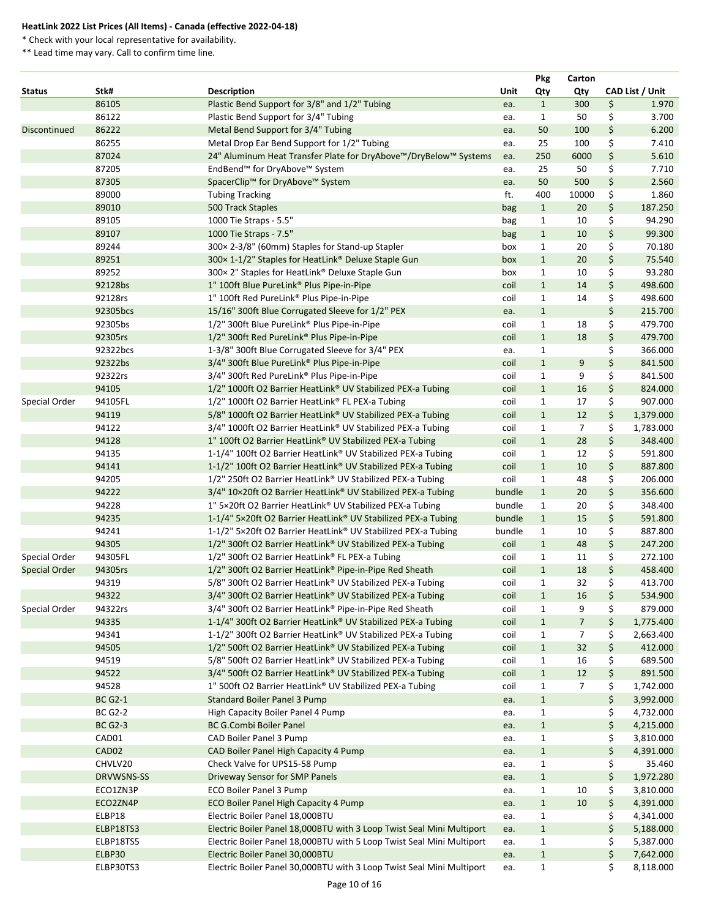\* Check with your local representative for availability.

|                      |                   |                                                                       |        | <b>Pkg</b>   | Carton         |                 |
|----------------------|-------------------|-----------------------------------------------------------------------|--------|--------------|----------------|-----------------|
| <b>Status</b>        | Stk#              | <b>Description</b>                                                    | Unit   | Qty          | Qty            | CAD List / Unit |
|                      | 86105             | Plastic Bend Support for 3/8" and 1/2" Tubing                         | ea.    | $\mathbf{1}$ | 300            | \$<br>1.970     |
|                      | 86122             | Plastic Bend Support for 3/4" Tubing                                  | ea.    | $\mathbf{1}$ | 50             | \$<br>3.700     |
| <b>Discontinued</b>  | 86222             | Metal Bend Support for 3/4" Tubing                                    | ea.    | 50           | 100            | \$<br>6.200     |
|                      | 86255             | Metal Drop Ear Bend Support for 1/2" Tubing                           | ea.    | 25           | 100            | \$<br>7.410     |
|                      | 87024             | 24" Aluminum Heat Transfer Plate for DryAbove™/DryBelow™ Systems      | ea.    | 250          | 6000           | \$<br>5.610     |
|                      | 87205             | EndBend™ for DryAbove™ System                                         | ea.    | 25           | 50             | \$<br>7.710     |
|                      | 87305             | SpacerClip™ for DryAbove™ System                                      | ea.    | 50           | 500            | \$<br>2.560     |
|                      | 89000             | <b>Tubing Tracking</b>                                                | ft.    | 400          | 10000          | \$<br>1.860     |
|                      | 89010             | 500 Track Staples                                                     | bag    | $\mathbf{1}$ | 20             | \$<br>187.250   |
|                      | 89105             | 1000 Tie Straps - 5.5"                                                | bag    | $\mathbf{1}$ | 10             | \$<br>94.290    |
|                      | 89107             | 1000 Tie Straps - 7.5"                                                | bag    | $\mathbf{1}$ | 10             | \$<br>99.300    |
|                      | 89244             | 300×2-3/8" (60mm) Staples for Stand-up Stapler                        | box    | $\mathbf{1}$ | 20             | \$<br>70.180    |
|                      | 89251             | 300×1-1/2" Staples for HeatLink® Deluxe Staple Gun                    | box    | $\mathbf{1}$ | 20             | \$<br>75.540    |
|                      | 89252             | 300 × 2" Staples for HeatLink® Deluxe Staple Gun                      | box    | $\mathbf{1}$ | 10             | \$<br>93.280    |
|                      | 92128bs           | 1" 100ft Blue PureLink® Plus Pipe-in-Pipe                             | coil   | $\mathbf{1}$ | 14             | \$<br>498.600   |
|                      | 92128rs           | 1" 100ft Red PureLink® Plus Pipe-in-Pipe                              | coil   | $\mathbf{1}$ | 14             | \$<br>498.600   |
|                      | 92305bcs          | 15/16" 300ft Blue Corrugated Sleeve for 1/2" PEX                      | ea.    | $\mathbf{1}$ |                | \$<br>215.700   |
|                      | 92305bs           | 1/2" 300ft Blue PureLink® Plus Pipe-in-Pipe                           | coil   | $\mathbf{1}$ | 18             | \$<br>479.700   |
|                      | 92305rs           | 1/2" 300ft Red PureLink® Plus Pipe-in-Pipe                            | coil   | $\mathbf{1}$ | 18             | \$<br>479.700   |
|                      | 92322bcs          | 1-3/8" 300ft Blue Corrugated Sleeve for 3/4" PEX                      | ea.    | $\mathbf{1}$ |                | \$<br>366.000   |
|                      | 92322bs           | 3/4" 300ft Blue PureLink® Plus Pipe-in-Pipe                           | coil   | $\mathbf{1}$ | $9\,$          | \$<br>841.500   |
|                      | 92322rs           | 3/4" 300ft Red PureLink® Plus Pipe-in-Pipe                            | coil   | $\mathbf{1}$ | 9              | \$<br>841.500   |
|                      | 94105             | 1/2" 1000ft O2 Barrier HeatLink® UV Stabilized PEX-a Tubing           | coil   | $\mathbf{1}$ | 16             | \$<br>824.000   |
| Special Order        | 94105FL           | 1/2" 1000ft O2 Barrier HeatLink® FL PEX-a Tubing                      | coil   | $\mathbf{1}$ | 17             | \$<br>907.000   |
|                      | 94119             | 5/8" 1000ft O2 Barrier HeatLink® UV Stabilized PEX-a Tubing           | coil   | $\mathbf{1}$ | 12             | \$<br>1,379.000 |
|                      | 94122             | 3/4" 1000ft O2 Barrier HeatLink® UV Stabilized PEX-a Tubing           | coil   | $\mathbf{1}$ | 7              | \$<br>1,783.000 |
|                      | 94128             | 1" 100ft O2 Barrier HeatLink® UV Stabilized PEX-a Tubing              | coil   | $\mathbf{1}$ | 28             | \$<br>348.400   |
|                      | 94135             | 1-1/4" 100ft O2 Barrier HeatLink® UV Stabilized PEX-a Tubing          | coil   | $\mathbf{1}$ | 12             | \$<br>591.800   |
|                      | 94141             | 1-1/2" 100ft O2 Barrier HeatLink® UV Stabilized PEX-a Tubing          | coil   | $\mathbf{1}$ | 10             | \$<br>887.800   |
|                      | 94205             | 1/2" 250ft O2 Barrier HeatLink® UV Stabilized PEX-a Tubing            | coil   | $\mathbf{1}$ | 48             | \$<br>206.000   |
|                      | 94222             | 3/4" 10×20ft O2 Barrier HeatLink® UV Stabilized PEX-a Tubing          | bundle | $\mathbf{1}$ | 20             | \$<br>356.600   |
|                      | 94228             | 1" 5×20ft O2 Barrier HeatLink® UV Stabilized PEX-a Tubing             | bundle | $\mathbf{1}$ | 20             | \$<br>348.400   |
|                      | 94235             | 1-1/4" 5×20ft O2 Barrier HeatLink® UV Stabilized PEX-a Tubing         | bundle | $\mathbf{1}$ | 15             | \$<br>591.800   |
|                      | 94241             | 1-1/2" 5×20ft O2 Barrier HeatLink® UV Stabilized PEX-a Tubing         | bundle | $\mathbf{1}$ | 10             | \$<br>887.800   |
|                      | 94305             | 1/2" 300ft O2 Barrier HeatLink® UV Stabilized PEX-a Tubing            | coil   | $\mathbf{1}$ | 48             | \$<br>247.200   |
| Special Order        | 94305FL           | 1/2" 300ft O2 Barrier HeatLink® FL PEX-a Tubing                       | coil   | $\mathbf{1}$ | 11             | \$<br>272.100   |
| <b>Special Order</b> | 94305rs           | 1/2" 300ft O2 Barrier HeatLink® Pipe-in-Pipe Red Sheath               | coil   | $\mathbf{1}$ | 18             | \$<br>458.400   |
|                      | 94319             | 5/8" 300ft O2 Barrier HeatLink® UV Stabilized PEX-a Tubing            | coil   | $\mathbf{1}$ | 32             | \$<br>413.700   |
|                      | 94322             | 3/4" 300ft O2 Barrier HeatLink® UV Stabilized PEX-a Tubing            | coil   | $\mathbf{1}$ | 16             | \$<br>534.900   |
| Special Order        | 94322rs           | 3/4" 300ft O2 Barrier HeatLink® Pipe-in-Pipe Red Sheath               | coil   | $\mathbf{1}$ | 9              | \$<br>879.000   |
|                      | 94335             | 1-1/4" 300ft O2 Barrier HeatLink® UV Stabilized PEX-a Tubing          | coil   | $\mathbf{1}$ | $\overline{7}$ | \$<br>1,775.400 |
|                      | 94341             | 1-1/2" 300ft O2 Barrier HeatLink® UV Stabilized PEX-a Tubing          | coil   | $\mathbf{1}$ | $\overline{7}$ | \$<br>2,663.400 |
|                      | 94505             | 1/2" 500ft O2 Barrier HeatLink® UV Stabilized PEX-a Tubing            | coil   | $\mathbf{1}$ | 32             | \$<br>412.000   |
|                      | 94519             | 5/8" 500ft O2 Barrier HeatLink® UV Stabilized PEX-a Tubing            | coil   | $\mathbf{1}$ | 16             | \$<br>689.500   |
|                      | 94522             | 3/4" 500ft O2 Barrier HeatLink® UV Stabilized PEX-a Tubing            | coil   | $\mathbf{1}$ | 12             | \$<br>891.500   |
|                      | 94528             | 1" 500ft O2 Barrier HeatLink® UV Stabilized PEX-a Tubing              | coil   | $\mathbf{1}$ | $\overline{7}$ | \$<br>1,742.000 |
|                      | <b>BC G2-1</b>    | <b>Standard Boiler Panel 3 Pump</b>                                   | ea.    | $\mathbf{1}$ |                | \$<br>3,992.000 |
|                      | <b>BC G2-2</b>    | High Capacity Boiler Panel 4 Pump                                     | ea.    | $\mathbf{1}$ |                | \$<br>4,732.000 |
|                      | <b>BC G2-3</b>    | <b>BC G.Combi Boiler Panel</b>                                        | ea.    | $\mathbf{1}$ |                | \$<br>4,215.000 |
|                      | CAD01             | CAD Boiler Panel 3 Pump                                               | ea.    | 1            |                | \$<br>3,810.000 |
|                      | CAD <sub>02</sub> | CAD Boiler Panel High Capacity 4 Pump                                 | ea.    | $\mathbf{1}$ |                | \$<br>4,391.000 |
|                      | CHVLV20           | Check Valve for UPS15-58 Pump                                         | ea.    | 1            |                | \$<br>35.460    |
|                      | <b>DRVWSNS-SS</b> | Driveway Sensor for SMP Panels                                        | ea.    | $\mathbf{1}$ |                | \$<br>1,972.280 |
|                      | ECO1ZN3P          | <b>ECO Boiler Panel 3 Pump</b>                                        | ea.    | $\mathbf{1}$ | 10             | \$<br>3,810.000 |
|                      | ECO2ZN4P          | ECO Boiler Panel High Capacity 4 Pump                                 | ea.    | $\mathbf{1}$ | 10             | \$<br>4,391.000 |
|                      | ELBP18            | Electric Boiler Panel 18,000BTU                                       | ea.    | 1            |                | \$<br>4,341.000 |
|                      | ELBP18TS3         | Electric Boiler Panel 18,000BTU with 3 Loop Twist Seal Mini Multiport | ea.    | $\mathbf{1}$ |                | \$<br>5,188.000 |
|                      | ELBP18TS5         | Electric Boiler Panel 18,000BTU with 5 Loop Twist Seal Mini Multiport | ea.    | 1            |                | \$<br>5,387.000 |
|                      | ELBP30            | Electric Boiler Panel 30,000BTU                                       | ea.    | $\mathbf{1}$ |                | \$<br>7,642.000 |
|                      | ELBP30TS3         | Electric Boiler Panel 30,000BTU with 3 Loop Twist Seal Mini Multiport | ea.    | 1            |                | \$<br>8,118.000 |
|                      |                   |                                                                       |        |              |                |                 |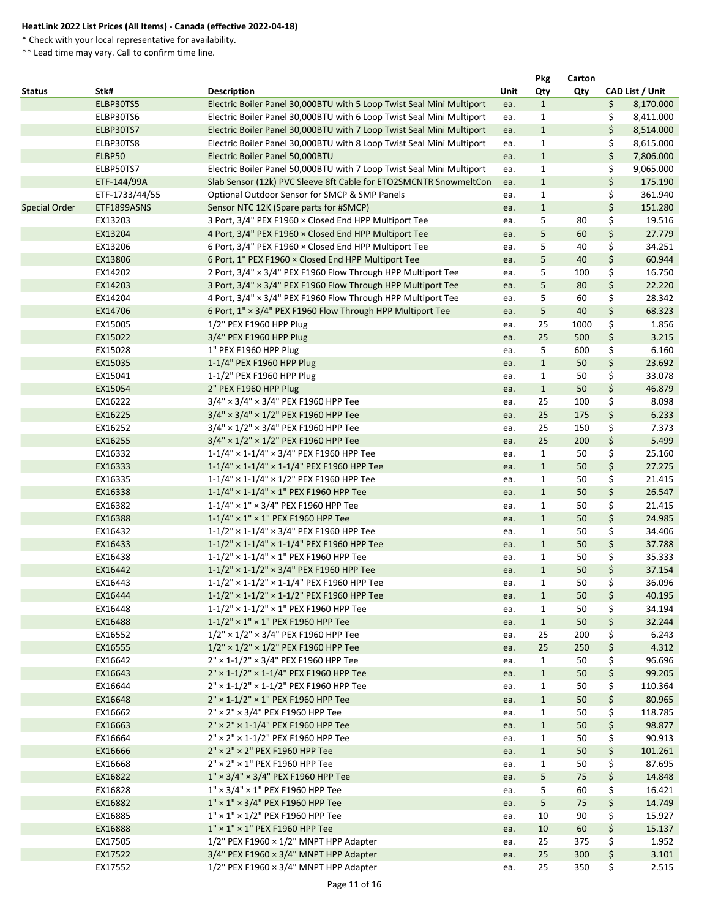\* Check with your local representative for availability.

|                      |                |                                                                       |      | <b>Pkg</b>   | Carton |                 |
|----------------------|----------------|-----------------------------------------------------------------------|------|--------------|--------|-----------------|
| <b>Status</b>        | Stk#           | <b>Description</b>                                                    | Unit | Qty          | Qty    | CAD List / Unit |
|                      | ELBP30TS5      | Electric Boiler Panel 30,000BTU with 5 Loop Twist Seal Mini Multiport | ea.  | $\mathbf{1}$ |        | \$<br>8,170.000 |
|                      | ELBP30TS6      | Electric Boiler Panel 30,000BTU with 6 Loop Twist Seal Mini Multiport | ea.  | $\mathbf{1}$ |        | \$<br>8,411.000 |
|                      | ELBP30TS7      | Electric Boiler Panel 30,000BTU with 7 Loop Twist Seal Mini Multiport | ea.  | $\mathbf{1}$ |        | \$<br>8,514.000 |
|                      | ELBP30TS8      | Electric Boiler Panel 30,000BTU with 8 Loop Twist Seal Mini Multiport | ea.  | $\mathbf{1}$ |        | \$<br>8,615.000 |
|                      | ELBP50         | Electric Boiler Panel 50,000BTU                                       | ea.  | $\mathbf{1}$ |        | \$<br>7,806.000 |
|                      | ELBP50TS7      | Electric Boiler Panel 50,000BTU with 7 Loop Twist Seal Mini Multiport | ea.  | $\mathbf{1}$ |        | \$<br>9,065.000 |
|                      | ETF-144/99A    | Slab Sensor (12k) PVC Sleeve 8ft Cable for ETO2SMCNTR SnowmeltCon     | ea.  | $\mathbf{1}$ |        | \$<br>175.190   |
|                      | ETF-1733/44/55 | Optional Outdoor Sensor for SMCP & SMP Panels                         | ea.  | $\mathbf{1}$ |        | \$<br>361.940   |
| <b>Special Order</b> | ETF1899ASNS    | Sensor NTC 12K (Spare parts for #SMCP)                                | ea.  | $\mathbf{1}$ |        | \$<br>151.280   |
|                      | EX13203        | 3 Port, 3/4" PEX F1960 x Closed End HPP Multiport Tee                 | ea.  | 5            | 80     | \$<br>19.516    |
|                      | EX13204        | 4 Port, 3/4" PEX F1960 x Closed End HPP Multiport Tee                 | ea.  | 5            | 60     | \$<br>27.779    |
|                      | EX13206        | 6 Port, 3/4" PEX F1960 × Closed End HPP Multiport Tee                 | ea.  | 5            | 40     | \$<br>34.251    |
|                      | EX13806        | 6 Port, 1" PEX F1960 x Closed End HPP Multiport Tee                   | ea.  | 5            | 40     | \$<br>60.944    |
|                      | EX14202        | 2 Port, 3/4" × 3/4" PEX F1960 Flow Through HPP Multiport Tee          | ea.  | 5            | 100    | \$<br>16.750    |
|                      | EX14203        | 3 Port, 3/4" × 3/4" PEX F1960 Flow Through HPP Multiport Tee          | ea.  | 5            | 80     | \$<br>22.220    |
|                      | EX14204        | 4 Port, 3/4" x 3/4" PEX F1960 Flow Through HPP Multiport Tee          | ea.  | 5            | 60     | \$<br>28.342    |
|                      | EX14706        | 6 Port, 1" × 3/4" PEX F1960 Flow Through HPP Multiport Tee            | ea.  | 5            | 40     | \$<br>68.323    |
|                      | EX15005        | 1/2" PEX F1960 HPP Plug                                               |      | 25           | 1000   | \$<br>1.856     |
|                      | EX15022        |                                                                       | ea.  | 25           | 500    |                 |
|                      |                | 3/4" PEX F1960 HPP Plug                                               | ea.  |              |        | \$<br>3.215     |
|                      | EX15028        | 1" PEX F1960 HPP Plug                                                 | ea.  | 5            | 600    | \$<br>6.160     |
|                      | EX15035        | 1-1/4" PEX F1960 HPP Plug                                             | ea.  | $\mathbf{1}$ | 50     | \$<br>23.692    |
|                      | EX15041        | 1-1/2" PEX F1960 HPP Plug                                             | ea.  | $\mathbf{1}$ | 50     | \$<br>33.078    |
|                      | EX15054        | 2" PEX F1960 HPP Plug                                                 | ea.  | $\mathbf{1}$ | 50     | \$<br>46.879    |
|                      | EX16222        | $3/4" \times 3/4" \times 3/4"$ PEX F1960 HPP Tee                      | ea.  | 25           | 100    | \$<br>8.098     |
|                      | EX16225        | $3/4" \times 3/4" \times 1/2"$ PEX F1960 HPP Tee                      | ea.  | 25           | 175    | \$<br>6.233     |
|                      | EX16252        | $3/4" \times 1/2" \times 3/4"$ PEX F1960 HPP Tee                      | ea.  | 25           | 150    | \$<br>7.373     |
|                      | EX16255        | $3/4" \times 1/2" \times 1/2"$ PEX F1960 HPP Tee                      | ea.  | 25           | 200    | \$<br>5.499     |
|                      | EX16332        | $1-1/4$ " × $1-1/4$ " × 3/4" PEX F1960 HPP Tee                        | ea.  | $\mathbf{1}$ | 50     | \$<br>25.160    |
|                      | EX16333        | $1-1/4$ " × 1-1/4" × 1-1/4" PEX F1960 HPP Tee                         | ea.  | $\mathbf{1}$ | 50     | \$<br>27.275    |
|                      | EX16335        | $1-1/4$ " × $1-1/4$ " × $1/2$ " PEX F1960 HPP Tee                     | ea.  | $\mathbf{1}$ | 50     | \$<br>21.415    |
|                      | EX16338        | $1-1/4$ " × 1-1/4" × 1" PEX F1960 HPP Tee                             | ea.  | $\mathbf{1}$ | 50     | \$<br>26.547    |
|                      | EX16382        | $1-1/4$ " × $1$ " × 3/4" PEX F1960 HPP Tee                            | ea.  | $\mathbf{1}$ | 50     | \$<br>21.415    |
|                      | EX16388        | $1-1/4" \times 1" \times 1"$ PEX F1960 HPP Tee                        | ea.  | $\mathbf{1}$ | 50     | \$<br>24.985    |
|                      | EX16432        | 1-1/2" × 1-1/4" × 3/4" PEX F1960 HPP Tee                              | ea.  | $\mathbf{1}$ | 50     | \$<br>34.406    |
|                      | EX16433        | $1-1/2$ " × 1-1/4" × 1-1/4" PEX F1960 HPP Tee                         | ea.  | $\mathbf{1}$ | 50     | \$<br>37.788    |
|                      | EX16438        | 1-1/2" × 1-1/4" × 1" PEX F1960 HPP Tee                                | ea.  | $\mathbf{1}$ | 50     | \$<br>35.333    |
|                      | EX16442        | $1-1/2$ " × $1-1/2$ " × $3/4$ " PEX F1960 HPP Tee                     | ea.  | $\mathbf{1}$ | 50     | \$<br>37.154    |
|                      | EX16443        | $1-1/2$ " × $1-1/2$ " × $1-1/4$ " PEX F1960 HPP Tee                   | ea.  | $\mathbf{1}$ | 50     | \$<br>36.096    |
|                      | EX16444        | $1-1/2$ " × $1-1/2$ " × $1-1/2$ " PEX F1960 HPP Tee                   | ea.  | $\mathbf{1}$ | 50     | \$<br>40.195    |
|                      | EX16448        | $1-1/2$ " × $1-1/2$ " × $1$ " PEX F1960 HPP Tee                       | ea.  | $\mathbf{1}$ | 50     | \$<br>34.194    |
|                      | EX16488        | $1-1/2$ " × $1$ " × 1" PEX F1960 HPP Tee                              | ea.  | $\mathbf{1}$ | 50     | \$<br>32.244    |
|                      | EX16552        | $1/2$ " × $1/2$ " × 3/4" PEX F1960 HPP Tee                            | ea.  | 25           | 200    | \$<br>6.243     |
|                      | EX16555        | $1/2$ " × $1/2$ " × $1/2$ " PEX F1960 HPP Tee                         | ea.  | 25           | 250    | \$<br>4.312     |
|                      | EX16642        | $2" \times 1 - 1/2" \times 3/4"$ PEX F1960 HPP Tee                    | ea.  | $\mathbf{1}$ | 50     | \$<br>96.696    |
|                      | EX16643        | 2" × 1-1/2" × 1-1/4" PEX F1960 HPP Tee                                | ea.  | $\mathbf{1}$ | 50     | \$<br>99.205    |
|                      | EX16644        | $2'' \times 1 - 1/2'' \times 1 - 1/2''$ PEX F1960 HPP Tee             | ea.  | $\mathbf{1}$ | 50     | \$<br>110.364   |
|                      | EX16648        | $2'' \times 1 - 1/2'' \times 1''$ PEX F1960 HPP Tee                   | ea.  | $\mathbf{1}$ | 50     | \$<br>80.965    |
|                      | EX16662        | 2" × 2" × 3/4" PEX F1960 HPP Tee                                      |      | $\mathbf{1}$ | 50     | \$<br>118.785   |
|                      |                | $2" \times 2" \times 1 - 1/4"$ PEX F1960 HPP Tee                      | ea.  |              |        | \$              |
|                      | EX16663        |                                                                       | ea.  | $\mathbf{1}$ | 50     | 98.877          |
|                      | EX16664        | 2" × 2" × 1-1/2" PEX F1960 HPP Tee                                    | ea.  | $\mathbf{1}$ | 50     | \$<br>90.913    |
|                      | EX16666        | 2" × 2" × 2" PEX F1960 HPP Tee                                        | ea.  | $\mathbf{1}$ | 50     | \$<br>101.261   |
|                      | EX16668        | $2" \times 2" \times 1"$ PEX F1960 HPP Tee                            | ea.  | $\mathbf{1}$ | 50     | \$<br>87.695    |
|                      | EX16822        | $1'' \times 3/4'' \times 3/4''$ PEX F1960 HPP Tee                     | ea.  | 5            | 75     | \$<br>14.848    |
|                      | EX16828        | $1" \times 3/4" \times 1"$ PEX F1960 HPP Tee                          | ea.  | 5            | 60     | \$<br>16.421    |
|                      | EX16882        | $1" \times 1" \times 3/4"$ PEX F1960 HPP Tee                          | ea.  | 5            | 75     | \$<br>14.749    |
|                      | EX16885        | $1'' \times 1'' \times 1/2''$ PEX F1960 HPP Tee                       | ea.  | 10           | 90     | \$<br>15.927    |
|                      | EX16888        | $1" \times 1" \times 1"$ PEX F1960 HPP Tee                            | ea.  | 10           | 60     | \$<br>15.137    |
|                      | EX17505        | $1/2$ " PEX F1960 × $1/2$ " MNPT HPP Adapter                          | ea.  | 25           | 375    | \$<br>1.952     |
|                      | EX17522        | $3/4"$ PEX F1960 × 3/4" MNPT HPP Adapter                              | ea.  | 25           | 300    | \$<br>3.101     |
|                      | EX17552        | $1/2$ " PEX F1960 × 3/4" MNPT HPP Adapter                             | ea.  | 25           | 350    | \$<br>2.515     |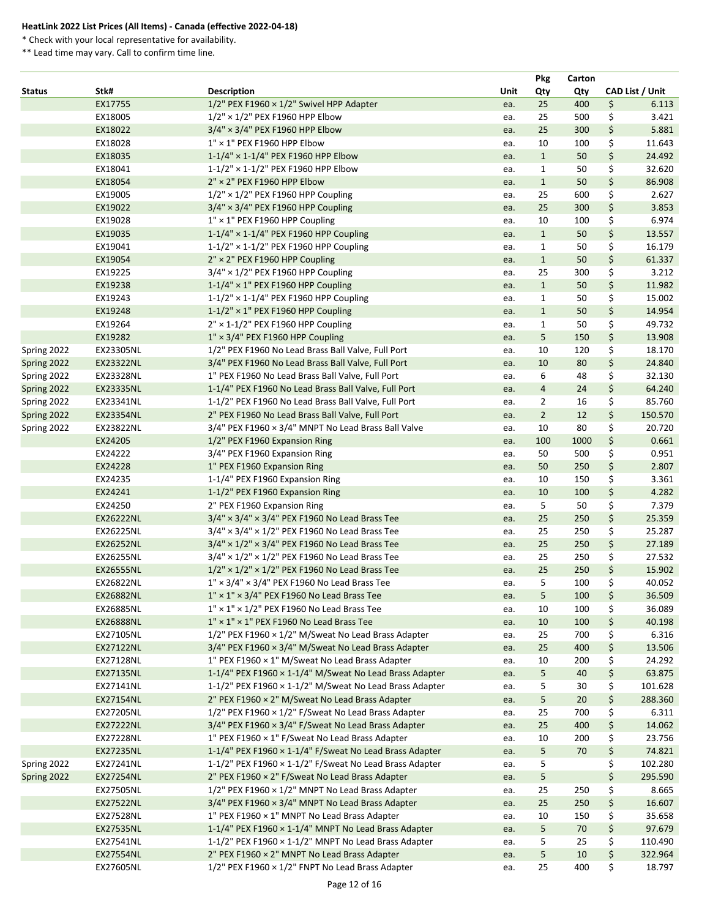\* Check with your local representative for availability.

|               |                  |                                                                |      | Pkg                     | Carton |                 |
|---------------|------------------|----------------------------------------------------------------|------|-------------------------|--------|-----------------|
| <b>Status</b> | Stk#             | <b>Description</b>                                             | Unit | Qty                     | Qty    | CAD List / Unit |
|               | EX17755          | $1/2$ " PEX F1960 × $1/2$ " Swivel HPP Adapter                 | ea.  | 25                      | 400    | \$<br>6.113     |
|               | EX18005          | $1/2"$ × $1/2"$ PEX F1960 HPP Elbow                            | ea.  | 25                      | 500    | \$<br>3.421     |
|               | EX18022          | $3/4" \times 3/4"$ PEX F1960 HPP Elbow                         | ea.  | 25                      | 300    | \$<br>5.881     |
|               | EX18028          | $1'' \times 1''$ PEX F1960 HPP Elbow                           | ea.  | 10                      | 100    | \$<br>11.643    |
|               | EX18035          | $1-1/4"$ × 1-1/4" PEX F1960 HPP Elbow                          | ea.  | $\mathbf{1}$            | 50     | \$<br>24.492    |
|               | EX18041          | 1-1/2" × 1-1/2" PEX F1960 HPP Elbow                            | ea.  | $\mathbf{1}$            | 50     | \$<br>32.620    |
|               | EX18054          | $2" \times 2"$ PEX F1960 HPP Elbow                             | ea.  | $\mathbf{1}$            | 50     | \$<br>86.908    |
|               | EX19005          | $1/2"$ × $1/2"$ PEX F1960 HPP Coupling                         | ea.  | 25                      | 600    | \$<br>2.627     |
|               | EX19022          | $3/4" \times 3/4"$ PEX F1960 HPP Coupling                      | ea.  | 25                      | 300    | \$<br>3.853     |
|               | EX19028          | 1" × 1" PEX F1960 HPP Coupling                                 | ea.  | 10                      | 100    | \$<br>6.974     |
|               | EX19035          | 1-1/4" × 1-1/4" PEX F1960 HPP Coupling                         | ea.  | $\mathbf{1}$            | 50     | \$<br>13.557    |
|               | EX19041          | $1-1/2"$ × 1-1/2" PEX F1960 HPP Coupling                       | ea.  | $\mathbf{1}$            | 50     | \$<br>16.179    |
|               | EX19054          | 2" × 2" PEX F1960 HPP Coupling                                 | ea.  | $\mathbf{1}$            | 50     | \$<br>61.337    |
|               | EX19225          | $3/4" \times 1/2"$ PEX F1960 HPP Coupling                      | ea.  | 25                      | 300    | \$<br>3.212     |
|               | EX19238          | $1-1/4" \times 1"$ PEX F1960 HPP Coupling                      | ea.  | $\mathbf{1}$            | 50     | \$<br>11.982    |
|               | EX19243          | $1-1/2$ " × 1-1/4" PEX F1960 HPP Coupling                      | ea.  | $\mathbf{1}$            | 50     | \$<br>15.002    |
|               | EX19248          | $1-1/2" \times 1"$ PEX F1960 HPP Coupling                      | ea.  | $\mathbf{1}$            | 50     | \$<br>14.954    |
|               | EX19264          | 2" × 1-1/2" PEX F1960 HPP Coupling                             | ea.  | $\mathbf{1}$            | 50     | \$<br>49.732    |
|               | EX19282          | 1" × 3/4" PEX F1960 HPP Coupling                               | ea.  | 5                       | 150    | \$<br>13.908    |
| Spring 2022   | EX23305NL        | 1/2" PEX F1960 No Lead Brass Ball Valve, Full Port             | ea.  | 10                      | 120    | \$<br>18.170    |
| Spring 2022   | <b>EX23322NL</b> | 3/4" PEX F1960 No Lead Brass Ball Valve, Full Port             | ea.  | 10                      | 80     | \$<br>24.840    |
| Spring 2022   | EX23328NL        | 1" PEX F1960 No Lead Brass Ball Valve, Full Port               | ea.  | 6                       | 48     | \$<br>32.130    |
| Spring 2022   | <b>EX23335NL</b> | 1-1/4" PEX F1960 No Lead Brass Ball Valve, Full Port           | ea.  | $\overline{\mathbf{4}}$ | 24     | \$<br>64.240    |
| Spring 2022   | EX23341NL        | 1-1/2" PEX F1960 No Lead Brass Ball Valve, Full Port           | ea.  | $\overline{2}$          | 16     | \$<br>85.760    |
| Spring 2022   | <b>EX23354NL</b> | 2" PEX F1960 No Lead Brass Ball Valve, Full Port               | ea.  | $\overline{2}$          | 12     | \$<br>150.570   |
| Spring 2022   | EX23822NL        | $3/4$ " PEX F1960 $\times$ 3/4" MNPT No Lead Brass Ball Valve  | ea.  | 10                      | 80     | \$<br>20.720    |
|               | EX24205          | 1/2" PEX F1960 Expansion Ring                                  | ea.  | 100                     | 1000   | \$<br>0.661     |
|               | EX24222          | 3/4" PEX F1960 Expansion Ring                                  | ea.  | 50                      | 500    | \$<br>0.951     |
|               | EX24228          | 1" PEX F1960 Expansion Ring                                    | ea.  | 50                      | 250    | \$<br>2.807     |
|               | EX24235          | 1-1/4" PEX F1960 Expansion Ring                                | ea.  | 10                      | 150    | \$<br>3.361     |
|               | EX24241          | 1-1/2" PEX F1960 Expansion Ring                                | ea.  | 10                      | 100    | \$<br>4.282     |
|               | EX24250          | 2" PEX F1960 Expansion Ring                                    | ea.  | 5                       | 50     | \$<br>7.379     |
|               | <b>EX26222NL</b> | $3/4" \times 3/4" \times 3/4"$ PEX F1960 No Lead Brass Tee     | ea.  | 25                      | 250    | \$<br>25.359    |
|               | EX26225NL        | $3/4" \times 3/4" \times 1/2"$ PEX F1960 No Lead Brass Tee     | ea.  | 25                      | 250    | \$<br>25.287    |
|               | <b>EX26252NL</b> | $3/4" \times 1/2" \times 3/4"$ PEX F1960 No Lead Brass Tee     | ea.  | 25                      | 250    | \$<br>27.189    |
|               | EX26255NL        | $3/4" \times 1/2" \times 1/2"$ PEX F1960 No Lead Brass Tee     | ea.  | 25                      | 250    | \$<br>27.532    |
|               | <b>EX26555NL</b> | $1/2" \times 1/2" \times 1/2"$ PEX F1960 No Lead Brass Tee     | ea.  | 25                      | 250    | \$<br>15.902    |
|               | EX26822NL        | $1'' \times 3/4'' \times 3/4''$ PEX F1960 No Lead Brass Tee    | ea.  | 5                       | 100    | \$<br>40.052    |
|               | <b>EX26882NL</b> | $1'' \times 1'' \times 3/4''$ PEX F1960 No Lead Brass Tee      | ea.  | 5                       | 100    | \$<br>36.509    |
|               | EX26885NL        | $1'' \times 1'' \times 1/2''$ PEX F1960 No Lead Brass Tee      | ea.  | 10                      | 100    | \$<br>36.089    |
|               | <b>EX26888NL</b> | $1" \times 1" \times 1"$ PEX F1960 No Lead Brass Tee           | ea.  | 10                      | 100    | \$<br>40.198    |
|               | EX27105NL        | 1/2" PEX F1960 x 1/2" M/Sweat No Lead Brass Adapter            | ea.  | 25                      | 700    | \$<br>6.316     |
|               | <b>EX27122NL</b> | 3/4" PEX F1960 × 3/4" M/Sweat No Lead Brass Adapter            | ea.  | 25                      | 400    | \$<br>13.506    |
|               | EX27128NL        | 1" PEX F1960 × 1" M/Sweat No Lead Brass Adapter                | ea.  | 10                      | 200    | \$<br>24.292    |
|               | EX27135NL        | 1-1/4" PEX F1960 × 1-1/4" M/Sweat No Lead Brass Adapter        | ea.  | 5                       | 40     | \$<br>63.875    |
|               | EX27141NL        | 1-1/2" PEX F1960 × 1-1/2" M/Sweat No Lead Brass Adapter        | ea.  | 5                       | 30     | \$<br>101.628   |
|               | <b>EX27154NL</b> | 2" PEX F1960 × 2" M/Sweat No Lead Brass Adapter                | ea.  | 5                       | 20     | \$<br>288.360   |
|               | EX27205NL        | $1/2$ " PEX F1960 × $1/2$ " F/Sweat No Lead Brass Adapter      | ea.  | 25                      | 700    | \$<br>6.311     |
|               | <b>EX27222NL</b> | 3/4" PEX F1960 × 3/4" F/Sweat No Lead Brass Adapter            | ea.  | 25                      | 400    | \$<br>14.062    |
|               | <b>EX27228NL</b> | 1" PEX F1960 × 1" F/Sweat No Lead Brass Adapter                | ea.  | 10                      | 200    | \$<br>23.756    |
|               | <b>EX27235NL</b> | 1-1/4" PEX F1960 × 1-1/4" F/Sweat No Lead Brass Adapter        | ea.  | 5                       | 70     | \$<br>74.821    |
| Spring 2022   | EX27241NL        | 1-1/2" PEX F1960 $\times$ 1-1/2" F/Sweat No Lead Brass Adapter | ea.  | 5                       |        | \$<br>102.280   |
| Spring 2022   | <b>EX27254NL</b> | 2" PEX F1960 × 2" F/Sweat No Lead Brass Adapter                | ea.  | 5                       |        | \$<br>295.590   |
|               | EX27505NL        | 1/2" PEX F1960 × 1/2" MNPT No Lead Brass Adapter               | ea.  | 25                      | 250    | \$<br>8.665     |
|               | <b>EX27522NL</b> | 3/4" PEX F1960 × 3/4" MNPT No Lead Brass Adapter               | ea.  | 25                      | 250    | \$<br>16.607    |
|               | EX27528NL        | 1" PEX F1960 × 1" MNPT No Lead Brass Adapter                   | ea.  | 10                      | 150    | \$<br>35.658    |
|               | <b>EX27535NL</b> | 1-1/4" PEX F1960 $\times$ 1-1/4" MNPT No Lead Brass Adapter    | ea.  | 5                       | 70     | \$<br>97.679    |
|               | EX27541NL        | 1-1/2" PEX F1960 × 1-1/2" MNPT No Lead Brass Adapter           | ea.  | 5                       | 25     | \$<br>110.490   |
|               | <b>EX27554NL</b> | 2" PEX F1960 × 2" MNPT No Lead Brass Adapter                   | ea.  | 5                       | 10     | \$<br>322.964   |
|               | EX27605NL        | $1/2$ " PEX F1960 $\times$ 1/2" FNPT No Lead Brass Adapter     | ea.  | 25                      | 400    | \$<br>18.797    |
|               |                  |                                                                |      |                         |        |                 |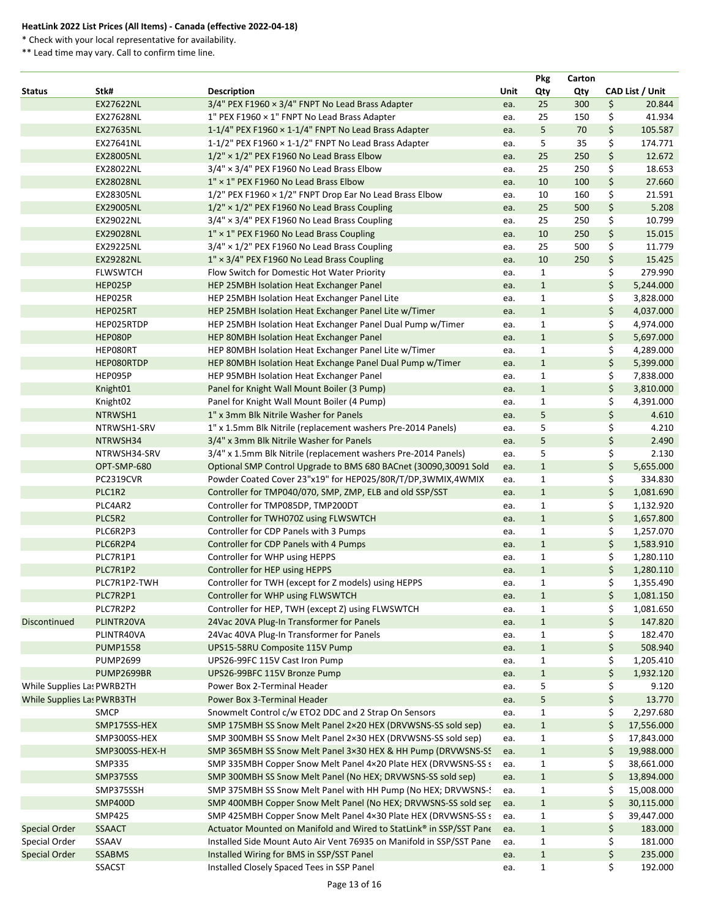\* Check with your local representative for availability.

|                            |                  |                                                                                                                                  |      | <b>Pkg</b>                   | Carton |                                |
|----------------------------|------------------|----------------------------------------------------------------------------------------------------------------------------------|------|------------------------------|--------|--------------------------------|
| <b>Status</b>              | Stk#             | <b>Description</b>                                                                                                               | Unit | Qty                          | Qty    | CAD List / Unit                |
|                            | <b>EX27622NL</b> | $3/4$ " PEX F1960 × $3/4$ " FNPT No Lead Brass Adapter                                                                           | ea.  | 25                           | 300    | \$<br>20.844                   |
|                            | EX27628NL        | 1" PEX F1960 x 1" FNPT No Lead Brass Adapter                                                                                     | ea.  | 25                           | 150    | \$<br>41.934                   |
|                            | <b>EX27635NL</b> | 1-1/4" PEX F1960 x 1-1/4" FNPT No Lead Brass Adapter                                                                             | ea.  | 5                            | 70     | \$<br>105.587                  |
|                            | EX27641NL        | 1-1/2" PEX F1960 × 1-1/2" FNPT No Lead Brass Adapter                                                                             | ea.  | 5                            | 35     | \$<br>174.771                  |
|                            | EX28005NL        | $1/2$ " × $1/2$ " PEX F1960 No Lead Brass Elbow                                                                                  | ea.  | 25                           | 250    | \$<br>12.672                   |
|                            | EX28022NL        | $3/4" \times 3/4"$ PEX F1960 No Lead Brass Elbow                                                                                 | ea.  | 25                           | 250    | \$<br>18.653                   |
|                            | <b>EX28028NL</b> | 1" × 1" PEX F1960 No Lead Brass Elbow                                                                                            | ea.  | 10                           | 100    | \$<br>27.660                   |
|                            | EX28305NL        | 1/2" PEX F1960 × 1/2" FNPT Drop Ear No Lead Brass Elbow                                                                          | ea.  | 10                           | 160    | \$<br>21.591                   |
|                            | EX29005NL        | $1/2"$ × $1/2"$ PEX F1960 No Lead Brass Coupling                                                                                 | ea.  | 25                           | 500    | \$<br>5.208                    |
|                            | EX29022NL        | $3/4" \times 3/4"$ PEX F1960 No Lead Brass Coupling                                                                              | ea.  | 25                           | 250    | \$<br>10.799                   |
|                            | <b>EX29028NL</b> | 1" × 1" PEX F1960 No Lead Brass Coupling                                                                                         | ea.  | 10                           | 250    | \$<br>15.015                   |
|                            | EX29225NL        | $3/4" \times 1/2"$ PEX F1960 No Lead Brass Coupling                                                                              | ea.  | 25                           | 500    | \$<br>11.779                   |
|                            | <b>EX29282NL</b> | 1" × 3/4" PEX F1960 No Lead Brass Coupling                                                                                       | ea.  | 10                           | 250    | \$<br>15.425                   |
|                            | <b>FLWSWTCH</b>  | Flow Switch for Domestic Hot Water Priority                                                                                      | ea.  | $\mathbf{1}$                 |        | \$<br>279.990                  |
|                            | HEP025P          | HEP 25MBH Isolation Heat Exchanger Panel                                                                                         | ea.  | $\mathbf{1}$                 |        | \$<br>5,244.000                |
|                            | HEP025R          | HEP 25MBH Isolation Heat Exchanger Panel Lite                                                                                    | ea.  | $\mathbf{1}$                 |        | \$<br>3,828.000                |
|                            | HEP025RT         | HEP 25MBH Isolation Heat Exchanger Panel Lite w/Timer                                                                            | ea.  | $\mathbf{1}$                 |        | \$<br>4,037.000                |
|                            | HEP025RTDP       | HEP 25MBH Isolation Heat Exchanger Panel Dual Pump w/Timer                                                                       | ea.  | $\mathbf{1}$                 |        | \$<br>4,974.000                |
|                            | HEP080P          | HEP 80MBH Isolation Heat Exchanger Panel                                                                                         | ea.  | $\mathbf{1}$                 |        | \$<br>5,697.000                |
|                            | HEP080RT         | HEP 80MBH Isolation Heat Exchanger Panel Lite w/Timer                                                                            | ea.  | $\mathbf{1}$                 |        | \$<br>4,289.000                |
|                            | HEP080RTDP       | HEP 80MBH Isolation Heat Exchange Panel Dual Pump w/Timer                                                                        | ea.  | $\mathbf{1}$                 |        | \$<br>5,399.000                |
|                            | HEP095P          | HEP 95MBH Isolation Heat Exchanger Panel                                                                                         | ea.  | $\mathbf{1}$                 |        | \$<br>7,838.000                |
|                            | Knight01         | Panel for Knight Wall Mount Boiler (3 Pump)                                                                                      | ea.  | $\mathbf{1}$                 |        | \$<br>3,810.000                |
|                            | Knight02         | Panel for Knight Wall Mount Boiler (4 Pump)                                                                                      | ea.  | $\mathbf{1}$                 |        | \$<br>4,391.000                |
|                            | NTRWSH1          | 1" x 3mm Blk Nitrile Washer for Panels                                                                                           | ea.  | 5                            |        | \$<br>4.610                    |
|                            | NTRWSH1-SRV      | 1" x 1.5mm Blk Nitrile (replacement washers Pre-2014 Panels)                                                                     | ea.  | 5                            |        | \$<br>4.210                    |
|                            | NTRWSH34         | 3/4" x 3mm Blk Nitrile Washer for Panels                                                                                         | ea.  | 5                            |        | \$<br>2.490                    |
|                            | NTRWSH34-SRV     | 3/4" x 1.5mm Blk Nitrile (replacement washers Pre-2014 Panels)                                                                   | ea.  | 5                            |        | \$<br>2.130                    |
|                            | OPT-SMP-680      | Optional SMP Control Upgrade to BMS 680 BACnet (30090,30091 Sold                                                                 | ea.  | $\mathbf{1}$                 |        | \$<br>5,655.000                |
|                            | <b>PC2319CVR</b> | Powder Coated Cover 23"x19" for HEP025/80R/T/DP,3WMIX,4WMIX                                                                      | ea.  | $\mathbf{1}$                 |        | \$<br>334.830                  |
|                            | PLC1R2           | Controller for TMP040/070, SMP, ZMP, ELB and old SSP/SST                                                                         | ea.  | $\mathbf{1}$                 |        | \$<br>1,081.690                |
|                            | PLC4AR2          | Controller for TMP085DP, TMP200DT                                                                                                | ea.  | $\mathbf{1}$                 |        | \$<br>1,132.920                |
|                            | PLC5R2           | Controller for TWH070Z using FLWSWTCH                                                                                            | ea.  | $\mathbf{1}$                 |        | \$<br>1,657.800                |
|                            | PLC6R2P3         | Controller for CDP Panels with 3 Pumps                                                                                           | ea.  | $\mathbf{1}$                 |        | \$<br>1,257.070                |
|                            | PLC6R2P4         | Controller for CDP Panels with 4 Pumps                                                                                           | ea.  | $\mathbf{1}$                 |        | \$<br>1,583.910                |
|                            | PLC7R1P1         | Controller for WHP using HEPPS                                                                                                   | ea.  | $\mathbf{1}$                 |        | \$<br>1,280.110                |
|                            | PLC7R1P2         | Controller for HEP using HEPPS                                                                                                   | ea.  | $\mathbf{1}$                 |        | \$<br>1,280.110                |
|                            | PLC7R1P2-TWH     | Controller for TWH (except for Z models) using HEPPS                                                                             | ea.  | $\mathbf{1}$                 |        | \$<br>1,355.490                |
|                            | PLC7R2P1         | Controller for WHP using FLWSWTCH                                                                                                | ea.  | $\mathbf{1}$                 |        | \$<br>1,081.150                |
|                            | PLC7R2P2         | Controller for HEP, TWH (except Z) using FLWSWTCH                                                                                | ea.  | $\mathbf{1}$                 |        | \$<br>1,081.650                |
| Discontinued               | PLINTR20VA       | 24Vac 20VA Plug-In Transformer for Panels                                                                                        | ea.  | $\mathbf{1}$                 |        | \$<br>147.820                  |
|                            | PLINTR40VA       | 24Vac 40VA Plug-In Transformer for Panels                                                                                        | ea.  | $\mathbf{1}$                 |        | \$<br>182.470                  |
|                            | <b>PUMP1558</b>  | UPS15-58RU Composite 115V Pump                                                                                                   | ea.  | $\mathbf{1}$                 |        | \$<br>508.940                  |
|                            | <b>PUMP2699</b>  | UPS26-99FC 115V Cast Iron Pump                                                                                                   | ea.  | $\mathbf{1}$                 |        | \$<br>1,205.410                |
|                            | PUMP2699BR       | UPS26-99BFC 115V Bronze Pump                                                                                                     | ea.  | $\mathbf{1}$                 |        | \$<br>1,932.120                |
| While Supplies Las PWRB2TH |                  | Power Box 2-Terminal Header                                                                                                      | ea.  | 5                            |        | \$<br>9.120                    |
| While Supplies Las PWRB3TH |                  | Power Box 3-Terminal Header                                                                                                      | ea.  | 5                            |        | \$<br>13.770                   |
|                            | <b>SMCP</b>      | Snowmelt Control c/w ETO2 DDC and 2 Strap On Sensors                                                                             | ea.  | 1                            |        | \$<br>2,297.680                |
|                            | SMP175SS-HEX     | SMP 175MBH SS Snow Melt Panel 2×20 HEX (DRVWSNS-SS sold sep)                                                                     | ea.  | $\mathbf{1}$                 |        | \$<br>17,556.000               |
|                            | SMP300SS-HEX     | SMP 300MBH SS Snow Melt Panel 2×30 HEX (DRVWSNS-SS sold sep)                                                                     | ea.  | $\mathbf{1}$                 |        | \$<br>17,843.000               |
|                            | SMP300SS-HEX-H   | SMP 365MBH SS Snow Melt Panel 3×30 HEX & HH Pump (DRVWSNS-SS                                                                     | ea.  | $\mathbf{1}$                 |        | \$<br>19,988.000               |
|                            | <b>SMP335</b>    | SMP 335MBH Copper Snow Melt Panel 4×20 Plate HEX (DRVWSNS-SS s                                                                   | ea.  | $\mathbf{1}$                 |        | \$<br>38,661.000               |
|                            | SMP375SS         | SMP 300MBH SS Snow Melt Panel (No HEX; DRVWSNS-SS sold sep)                                                                      |      | $\mathbf{1}$                 |        | \$<br>13,894.000               |
|                            | SMP375SSH        | SMP 375MBH SS Snow Melt Panel with HH Pump (No HEX; DRVWSNS-!                                                                    | ea.  | $\mathbf{1}$                 |        | 15,008.000                     |
|                            | <b>SMP400D</b>   |                                                                                                                                  | ea.  |                              |        | \$                             |
|                            | <b>SMP425</b>    | SMP 400MBH Copper Snow Melt Panel (No HEX; DRVWSNS-SS sold ser<br>SMP 425MBH Copper Snow Melt Panel 4×30 Plate HEX (DRVWSNS-SS s | ea.  | $\mathbf{1}$<br>$\mathbf{1}$ |        | \$<br>30,115.000<br>39,447.000 |
|                            | <b>SSAACT</b>    | Actuator Mounted on Manifold and Wired to StatLink® in SSP/SST Pane                                                              | ea.  |                              |        | 183.000                        |
| <b>Special Order</b>       |                  |                                                                                                                                  | ea.  | $\mathbf{1}$                 |        | \$<br>181.000                  |
| Special Order              | SSAAV            | Installed Side Mount Auto Air Vent 76935 on Manifold in SSP/SST Pane                                                             | ea.  | $\mathbf{1}$                 |        | \$                             |
| <b>Special Order</b>       | <b>SSABMS</b>    | Installed Wiring for BMS in SSP/SST Panel                                                                                        | ea.  | $\mathbf{1}$                 |        | \$<br>235.000                  |
|                            | <b>SSACST</b>    | Installed Closely Spaced Tees in SSP Panel                                                                                       | ea.  | $\mathbf{1}$                 |        | \$<br>192.000                  |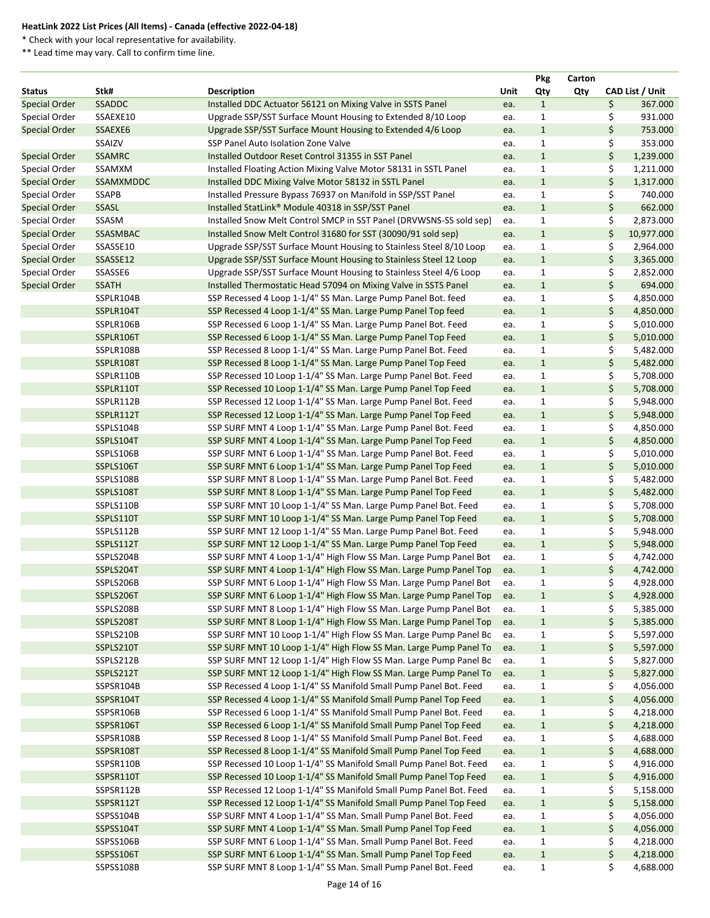\* Check with your local representative for availability.

|                      |               |                                                                     |            | <b>Pkg</b>   | Carton |    |                 |
|----------------------|---------------|---------------------------------------------------------------------|------------|--------------|--------|----|-----------------|
| <b>Status</b>        | Stk#          | <b>Description</b>                                                  | Unit       | Qty          | Qty    |    | CAD List / Unit |
| <b>Special Order</b> | SSADDC        | Installed DDC Actuator 56121 on Mixing Valve in SSTS Panel          | ea.        | $\mathbf{1}$ |        | \$ | 367.000         |
| Special Order        | SSAEXE10      | Upgrade SSP/SST Surface Mount Housing to Extended 8/10 Loop         | ea.        | $\mathbf{1}$ |        | \$ | 931.000         |
| <b>Special Order</b> | SSAEXE6       | Upgrade SSP/SST Surface Mount Housing to Extended 4/6 Loop          | ea.        | $\mathbf{1}$ |        | \$ | 753.000         |
|                      | SSAIZV        | SSP Panel Auto Isolation Zone Valve                                 | ea.        | $\mathbf{1}$ |        | \$ | 353.000         |
| <b>Special Order</b> | <b>SSAMRC</b> | Installed Outdoor Reset Control 31355 in SST Panel                  | ea.        | $\mathbf{1}$ |        | \$ | 1,239.000       |
| Special Order        | SSAMXM        | Installed Floating Action Mixing Valve Motor 58131 in SSTL Panel    | ea.        | $\mathbf{1}$ |        | \$ | 1,211.000       |
| <b>Special Order</b> | SSAMXMDDC     | Installed DDC Mixing Valve Motor 58132 in SSTL Panel                | ea.        | $\mathbf{1}$ |        | \$ | 1,317.000       |
| Special Order        | <b>SSAPB</b>  | Installed Pressure Bypass 76937 on Manifold in SSP/SST Panel        | ea.        | $\mathbf{1}$ |        | \$ | 740.000         |
| <b>Special Order</b> | SSASL         | Installed StatLink® Module 40318 in SSP/SST Panel                   | ea.        | $\mathbf{1}$ |        | \$ | 662.000         |
| Special Order        | SSASM         | Installed Snow Melt Control SMCP in SST Panel (DRVWSNS-SS sold sep) | ea.        | $\mathbf{1}$ |        | \$ | 2,873.000       |
| <b>Special Order</b> | SSASMBAC      | Installed Snow Melt Control 31680 for SST (30090/91 sold sep)       | ea.        | $\mathbf{1}$ |        | \$ | 10,977.000      |
| Special Order        | SSASSE10      | Upgrade SSP/SST Surface Mount Housing to Stainless Steel 8/10 Loop  | ea.        | $\mathbf{1}$ |        | \$ | 2,964.000       |
| <b>Special Order</b> | SSASSE12      | Upgrade SSP/SST Surface Mount Housing to Stainless Steel 12 Loop    | ea.        | $\mathbf{1}$ |        | \$ | 3,365.000       |
| Special Order        | SSASSE6       | Upgrade SSP/SST Surface Mount Housing to Stainless Steel 4/6 Loop   | ea.        | $\mathbf{1}$ |        | \$ | 2,852.000       |
| <b>Special Order</b> | <b>SSATH</b>  | Installed Thermostatic Head 57094 on Mixing Valve in SSTS Panel     | ea.        | $\mathbf{1}$ |        | \$ | 694.000         |
|                      | SSPLR104B     | SSP Recessed 4 Loop 1-1/4" SS Man. Large Pump Panel Bot. feed       | ea.        | $\mathbf{1}$ |        | \$ | 4,850.000       |
|                      | SSPLR104T     | SSP Recessed 4 Loop 1-1/4" SS Man. Large Pump Panel Top feed        | ea.        | $\mathbf{1}$ |        | \$ | 4,850.000       |
|                      | SSPLR106B     | SSP Recessed 6 Loop 1-1/4" SS Man. Large Pump Panel Bot. Feed       | ea.        | $\mathbf{1}$ |        | \$ | 5,010.000       |
|                      | SSPLR106T     | SSP Recessed 6 Loop 1-1/4" SS Man. Large Pump Panel Top Feed        | ea.        | $\mathbf{1}$ |        | \$ | 5,010.000       |
|                      | SSPLR108B     | SSP Recessed 8 Loop 1-1/4" SS Man. Large Pump Panel Bot. Feed       | ea.        | $\mathbf{1}$ |        | \$ | 5,482.000       |
|                      | SSPLR108T     | SSP Recessed 8 Loop 1-1/4" SS Man. Large Pump Panel Top Feed        | ea.        | $\mathbf{1}$ |        | \$ | 5,482.000       |
|                      | SSPLR110B     | SSP Recessed 10 Loop 1-1/4" SS Man. Large Pump Panel Bot. Feed      | ea.        | $\mathbf{1}$ |        | \$ | 5,708.000       |
|                      | SSPLR110T     | SSP Recessed 10 Loop 1-1/4" SS Man. Large Pump Panel Top Feed       | ea.        | $\mathbf{1}$ |        | \$ | 5,708.000       |
|                      | SSPLR112B     | SSP Recessed 12 Loop 1-1/4" SS Man. Large Pump Panel Bot. Feed      | ea.        | $\mathbf{1}$ |        | \$ | 5,948.000       |
|                      | SSPLR112T     | SSP Recessed 12 Loop 1-1/4" SS Man. Large Pump Panel Top Feed       | ea.        | $\mathbf{1}$ |        | \$ | 5,948.000       |
|                      | SSPLS104B     | SSP SURF MNT 4 Loop 1-1/4" SS Man. Large Pump Panel Bot. Feed       | ea.        | $\mathbf{1}$ |        | \$ | 4,850.000       |
|                      | SSPLS104T     | SSP SURF MNT 4 Loop 1-1/4" SS Man. Large Pump Panel Top Feed        | ea.        | $\mathbf{1}$ |        | \$ | 4,850.000       |
|                      | SSPLS106B     | SSP SURF MNT 6 Loop 1-1/4" SS Man. Large Pump Panel Bot. Feed       | ea.        | $\mathbf{1}$ |        | \$ | 5,010.000       |
|                      | SSPLS106T     | SSP SURF MNT 6 Loop 1-1/4" SS Man. Large Pump Panel Top Feed        | ea.        | $\mathbf{1}$ |        | \$ | 5,010.000       |
|                      | SSPLS108B     | SSP SURF MNT 8 Loop 1-1/4" SS Man. Large Pump Panel Bot. Feed       | ea.        | $\mathbf{1}$ |        | \$ | 5,482.000       |
|                      | SSPLS108T     | SSP SURF MNT 8 Loop 1-1/4" SS Man. Large Pump Panel Top Feed        | ea.        | $\mathbf{1}$ |        | \$ | 5,482.000       |
|                      | SSPLS110B     | SSP SURF MNT 10 Loop 1-1/4" SS Man. Large Pump Panel Bot. Feed      | ea.        | $\mathbf{1}$ |        |    | 5,708.000       |
|                      | SSPLS110T     | SSP SURF MNT 10 Loop 1-1/4" SS Man. Large Pump Panel Top Feed       | ea.        | $\mathbf{1}$ |        | \$ | 5,708.000       |
|                      | SSPLS112B     | SSP SURF MNT 12 Loop 1-1/4" SS Man. Large Pump Panel Bot. Feed      | ea.        | $\mathbf{1}$ |        | \$ | 5,948.000       |
|                      | SSPLS112T     | SSP SURF MNT 12 Loop 1-1/4" SS Man. Large Pump Panel Top Feed       |            | $\mathbf{1}$ |        | \$ | 5,948.000       |
|                      | SSPLS204B     | SSP SURF MNT 4 Loop 1-1/4" High Flow SS Man. Large Pump Panel Bot   | ea.<br>ea. | $\mathbf{1}$ |        | \$ | 4,742.000       |
|                      | SSPLS204T     |                                                                     |            | $\mathbf{1}$ |        |    |                 |
|                      |               | SSP SURF MNT 4 Loop 1-1/4" High Flow SS Man. Large Pump Panel Top   | ea.        |              |        | \$ | 4,742.000       |
|                      | SSPLS206B     | SSP SURF MNT 6 Loop 1-1/4" High Flow SS Man. Large Pump Panel Bot   | ea.        | $\mathbf{1}$ |        | \$ | 4,928.000       |
|                      | SSPLS206T     | SSP SURF MNT 6 Loop 1-1/4" High Flow SS Man. Large Pump Panel Top   | ea.        | $\mathbf{1}$ |        | \$ | 4,928.000       |
|                      | SSPLS208B     | SSP SURF MNT 8 Loop 1-1/4" High Flow SS Man. Large Pump Panel Bot   | ea.        | $\mathbf{1}$ |        | Ş. | 5,385.000       |
|                      | SSPLS208T     | SSP SURF MNT 8 Loop 1-1/4" High Flow SS Man. Large Pump Panel Top   | ea.        | $\mathbf{1}$ |        | \$ | 5,385.000       |
|                      | SSPLS210B     | SSP SURF MNT 10 Loop 1-1/4" High Flow SS Man. Large Pump Panel Bc   | ea.        | $\mathbf{1}$ |        | \$ | 5,597.000       |
|                      | SSPLS210T     | SSP SURF MNT 10 Loop 1-1/4" High Flow SS Man. Large Pump Panel To   | ea.        | $\mathbf{1}$ |        | \$ | 5,597.000       |
|                      | SSPLS212B     | SSP SURF MNT 12 Loop 1-1/4" High Flow SS Man. Large Pump Panel Bc   | ea.        | $\mathbf{1}$ |        | \$ | 5,827.000       |
|                      | SSPLS212T     | SSP SURF MNT 12 Loop 1-1/4" High Flow SS Man. Large Pump Panel To   | ea.        | $\mathbf{1}$ |        | \$ | 5,827.000       |
|                      | SSPSR104B     | SSP Recessed 4 Loop 1-1/4" SS Manifold Small Pump Panel Bot. Feed   | ea.        | $\mathbf{1}$ |        | \$ | 4,056.000       |
|                      | SSPSR104T     | SSP Recessed 4 Loop 1-1/4" SS Manifold Small Pump Panel Top Feed    | ea.        | $\mathbf{1}$ |        | \$ | 4,056.000       |
|                      | SSPSR106B     | SSP Recessed 6 Loop 1-1/4" SS Manifold Small Pump Panel Bot. Feed   | ea.        | $\mathbf{1}$ |        | \$ | 4,218.000       |
|                      | SSPSR106T     | SSP Recessed 6 Loop 1-1/4" SS Manifold Small Pump Panel Top Feed    | ea.        | $\mathbf{1}$ |        | \$ | 4,218.000       |
|                      | SSPSR108B     | SSP Recessed 8 Loop 1-1/4" SS Manifold Small Pump Panel Bot. Feed   | ea.        | $\mathbf{1}$ |        | Ş. | 4,688.000       |
|                      | SSPSR108T     | SSP Recessed 8 Loop 1-1/4" SS Manifold Small Pump Panel Top Feed    | ea.        | $\mathbf{1}$ |        | \$ | 4,688.000       |
|                      | SSPSR110B     | SSP Recessed 10 Loop 1-1/4" SS Manifold Small Pump Panel Bot. Feed  | ea.        | $\mathbf{1}$ |        | Ş. | 4,916.000       |
|                      | SSPSR110T     | SSP Recessed 10 Loop 1-1/4" SS Manifold Small Pump Panel Top Feed   | ea.        | $\mathbf{1}$ |        | \$ | 4,916.000       |
|                      | SSPSR112B     | SSP Recessed 12 Loop 1-1/4" SS Manifold Small Pump Panel Bot. Feed  | ea.        | $\mathbf{1}$ |        | \$ | 5,158.000       |
|                      | SSPSR112T     | SSP Recessed 12 Loop 1-1/4" SS Manifold Small Pump Panel Top Feed   | ea.        | $\mathbf{1}$ |        | \$ | 5,158.000       |
|                      | SSPSS104B     | SSP SURF MNT 4 Loop 1-1/4" SS Man. Small Pump Panel Bot. Feed       | ea.        | $\mathbf{1}$ |        | \$ | 4,056.000       |
|                      | SSPSS104T     | SSP SURF MNT 4 Loop 1-1/4" SS Man. Small Pump Panel Top Feed        | ea.        | $1\,$        |        | \$ | 4,056.000       |
|                      | SSPSS106B     | SSP SURF MNT 6 Loop 1-1/4" SS Man. Small Pump Panel Bot. Feed       | ea.        | $\mathbf{1}$ |        | \$ | 4,218.000       |
|                      | SSPSS106T     | SSP SURF MNT 6 Loop 1-1/4" SS Man. Small Pump Panel Top Feed        | ea.        | $\mathbf{1}$ |        | \$ | 4,218.000       |
|                      | SSPSS108B     | SSP SURF MNT 8 Loop 1-1/4" SS Man. Small Pump Panel Bot. Feed       | ea.        | $\mathbf{1}$ |        | \$ | 4,688.000       |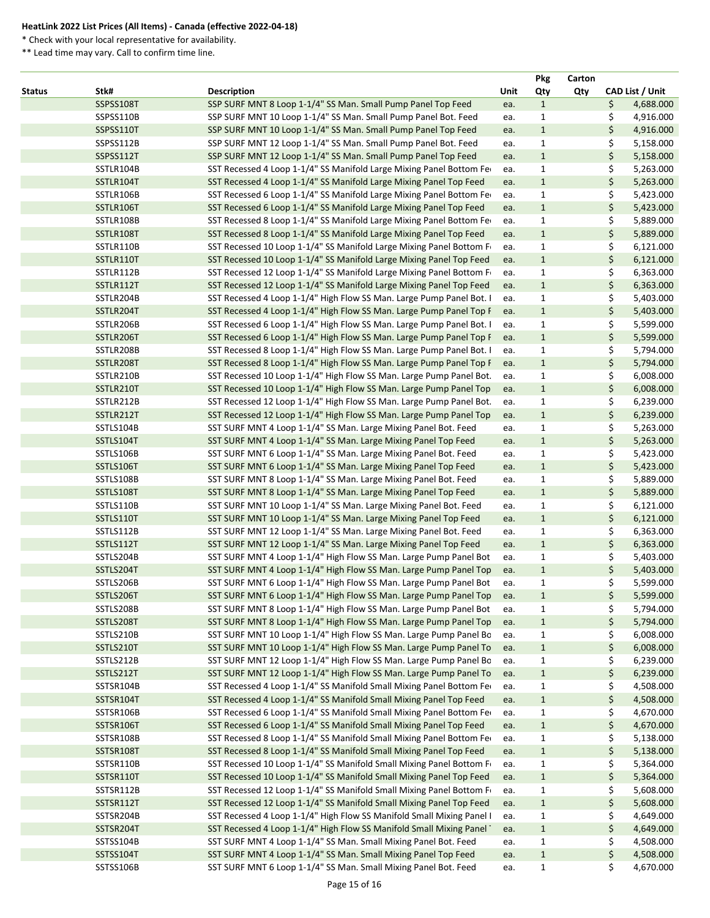\* Check with your local representative for availability.

|               |                  |                                                                       |      | <b>Pkg</b>   | Carton |                 |
|---------------|------------------|-----------------------------------------------------------------------|------|--------------|--------|-----------------|
| <b>Status</b> | Stk#             | <b>Description</b>                                                    | Unit | Qty          | Qty    | CAD List / Unit |
|               | SSPSS108T        | SSP SURF MNT 8 Loop 1-1/4" SS Man. Small Pump Panel Top Feed          | ea.  | $\mathbf{1}$ |        | \$<br>4,688.000 |
|               | SSPSS110B        | SSP SURF MNT 10 Loop 1-1/4" SS Man. Small Pump Panel Bot. Feed        | ea.  | $\mathbf{1}$ |        | \$<br>4,916.000 |
|               | SSPSS110T        | SSP SURF MNT 10 Loop 1-1/4" SS Man. Small Pump Panel Top Feed         | ea.  | $\mathbf 1$  |        | \$<br>4,916.000 |
|               | SSPSS112B        | SSP SURF MNT 12 Loop 1-1/4" SS Man. Small Pump Panel Bot. Feed        | ea.  | $\mathbf{1}$ |        | \$<br>5,158.000 |
|               | SSPSS112T        | SSP SURF MNT 12 Loop 1-1/4" SS Man. Small Pump Panel Top Feed         | ea.  | $\mathbf{1}$ |        | \$<br>5,158.000 |
|               | SSTLR104B        | SST Recessed 4 Loop 1-1/4" SS Manifold Large Mixing Panel Bottom Fe   | ea.  | $\mathbf{1}$ |        | 5,263.000<br>\$ |
|               | SSTLR104T        | SST Recessed 4 Loop 1-1/4" SS Manifold Large Mixing Panel Top Feed    | ea.  | $\mathbf{1}$ |        | \$<br>5,263.000 |
|               | SSTLR106B        | SST Recessed 6 Loop 1-1/4" SS Manifold Large Mixing Panel Bottom Fe   | ea.  | $\mathbf{1}$ |        | \$<br>5,423.000 |
|               | SSTLR106T        | SST Recessed 6 Loop 1-1/4" SS Manifold Large Mixing Panel Top Feed    | ea.  | $\mathbf{1}$ |        | \$<br>5,423.000 |
|               | SSTLR108B        | SST Recessed 8 Loop 1-1/4" SS Manifold Large Mixing Panel Bottom Fe   | ea.  | $\mathbf{1}$ |        | \$<br>5,889.000 |
|               | SSTLR108T        | SST Recessed 8 Loop 1-1/4" SS Manifold Large Mixing Panel Top Feed    | ea.  | $1\,$        |        | \$<br>5,889.000 |
|               | SSTLR110B        | SST Recessed 10 Loop 1-1/4" SS Manifold Large Mixing Panel Bottom F   | ea.  | $\mathbf{1}$ |        | \$<br>6,121.000 |
|               | SSTLR110T        | SST Recessed 10 Loop 1-1/4" SS Manifold Large Mixing Panel Top Feed   | ea.  | $\mathbf{1}$ |        | \$<br>6,121.000 |
|               | SSTLR112B        | SST Recessed 12 Loop 1-1/4" SS Manifold Large Mixing Panel Bottom F   | ea.  | $\mathbf{1}$ |        | \$<br>6,363.000 |
|               | SSTLR112T        | SST Recessed 12 Loop 1-1/4" SS Manifold Large Mixing Panel Top Feed   | ea.  | $1\,$        |        | \$<br>6,363.000 |
|               | SSTLR204B        | SST Recessed 4 Loop 1-1/4" High Flow SS Man. Large Pump Panel Bot. I  | ea.  | $\mathbf{1}$ |        | 5,403.000<br>\$ |
|               | SSTLR204T        | SST Recessed 4 Loop 1-1/4" High Flow SS Man. Large Pump Panel Top F   | ea.  | $\mathbf{1}$ |        | \$<br>5,403.000 |
|               | SSTLR206B        | SST Recessed 6 Loop 1-1/4" High Flow SS Man. Large Pump Panel Bot. I  | ea.  | $\mathbf{1}$ |        | 5,599.000<br>\$ |
|               | SSTLR206T        | SST Recessed 6 Loop 1-1/4" High Flow SS Man. Large Pump Panel Top F   | ea.  | $\mathbf{1}$ |        | \$<br>5,599.000 |
|               | SSTLR208B        | SST Recessed 8 Loop 1-1/4" High Flow SS Man. Large Pump Panel Bot. I  | ea.  | $\mathbf{1}$ |        | 5,794.000<br>\$ |
|               | SSTLR208T        | SST Recessed 8 Loop 1-1/4" High Flow SS Man. Large Pump Panel Top F   | ea.  | $\mathbf{1}$ |        | \$<br>5,794.000 |
|               | SSTLR210B        | SST Recessed 10 Loop 1-1/4" High Flow SS Man. Large Pump Panel Bot.   | ea.  | $\mathbf{1}$ |        | \$<br>6,008.000 |
|               | SSTLR210T        | SST Recessed 10 Loop 1-1/4" High Flow SS Man. Large Pump Panel Top    | ea.  | $\mathbf{1}$ |        | 6,008.000<br>\$ |
|               | SSTLR212B        | SST Recessed 12 Loop 1-1/4" High Flow SS Man. Large Pump Panel Bot.   | ea.  | $\mathbf{1}$ |        | \$<br>6,239.000 |
|               | SSTLR212T        | SST Recessed 12 Loop 1-1/4" High Flow SS Man. Large Pump Panel Top    | ea.  | $1\,$        |        | \$<br>6,239.000 |
|               | SSTLS104B        | SST SURF MNT 4 Loop 1-1/4" SS Man. Large Mixing Panel Bot. Feed       | ea.  | $\mathbf{1}$ |        | \$<br>5,263.000 |
|               | SSTLS104T        | SST SURF MNT 4 Loop 1-1/4" SS Man. Large Mixing Panel Top Feed        | ea.  | $1\,$        |        | \$<br>5,263.000 |
|               | SSTLS106B        | SST SURF MNT 6 Loop 1-1/4" SS Man. Large Mixing Panel Bot. Feed       | ea.  | $\mathbf{1}$ |        | 5,423.000<br>\$ |
|               | SSTLS106T        | SST SURF MNT 6 Loop 1-1/4" SS Man. Large Mixing Panel Top Feed        | ea.  | $\mathbf{1}$ |        | \$<br>5,423.000 |
|               | SSTLS108B        | SST SURF MNT 8 Loop 1-1/4" SS Man. Large Mixing Panel Bot. Feed       | ea.  | 1            |        | \$<br>5,889.000 |
|               | SSTLS108T        | SST SURF MNT 8 Loop 1-1/4" SS Man. Large Mixing Panel Top Feed        | ea.  | $\mathbf{1}$ |        | \$<br>5,889.000 |
|               | SSTLS110B        | SST SURF MNT 10 Loop 1-1/4" SS Man. Large Mixing Panel Bot. Feed      | ea.  | $\mathbf{1}$ |        | 6,121.000<br>\$ |
|               | SSTLS110T        | SST SURF MNT 10 Loop 1-1/4" SS Man. Large Mixing Panel Top Feed       | ea.  | $\mathbf{1}$ |        | \$<br>6,121.000 |
|               | SSTLS112B        | SST SURF MNT 12 Loop 1-1/4" SS Man. Large Mixing Panel Bot. Feed      | ea.  | $\mathbf{1}$ |        | \$<br>6,363.000 |
|               | SSTLS112T        | SST SURF MNT 12 Loop 1-1/4" SS Man. Large Mixing Panel Top Feed       | ea.  | $\mathbf{1}$ |        | 6,363.000<br>\$ |
|               | SSTLS204B        | SST SURF MNT 4 Loop 1-1/4" High Flow SS Man. Large Pump Panel Bot     | ea.  | $\mathbf{1}$ |        | 5,403.000<br>\$ |
|               | SSTLS204T        | SST SURF MNT 4 Loop 1-1/4" High Flow SS Man. Large Pump Panel Top     | ea.  | $\mathbf{1}$ |        | \$<br>5,403.000 |
|               | SSTLS206B        | SST SURF MNT 6 Loop 1-1/4" High Flow SS Man. Large Pump Panel Bot     | ea.  | $\mathbf{1}$ |        | \$<br>5,599.000 |
|               | SSTLS206T        | SST SURF MNT 6 Loop 1-1/4" High Flow SS Man. Large Pump Panel Top     | ea.  | $1\,$        |        | \$<br>5,599.000 |
|               | SSTLS208B        | SST SURF MNT 8 Loop 1-1/4" High Flow SS Man. Large Pump Panel Bot     | ea.  | $\mathbf{1}$ |        | 5,794.000<br>\$ |
|               | SSTLS208T        | SST SURF MNT 8 Loop 1-1/4" High Flow SS Man. Large Pump Panel Top     | ea.  | $\mathbf{1}$ |        | \$<br>5,794.000 |
|               | SSTLS210B        | SST SURF MNT 10 Loop 1-1/4" High Flow SS Man. Large Pump Panel Bo     | ea.  | $\mathbf{1}$ |        | 6,008.000<br>\$ |
|               | SSTLS210T        | SST SURF MNT 10 Loop 1-1/4" High Flow SS Man. Large Pump Panel To     | ea.  | $\mathbf{1}$ |        | \$<br>6,008.000 |
|               | SSTLS212B        | SST SURF MNT 12 Loop 1-1/4" High Flow SS Man. Large Pump Panel Bo     | ea.  | $\mathbf{1}$ |        | 6,239.000<br>\$ |
|               | SSTLS212T        | SST SURF MNT 12 Loop 1-1/4" High Flow SS Man. Large Pump Panel To     | ea.  | $\mathbf{1}$ |        | \$<br>6,239.000 |
|               | SSTSR104B        | SST Recessed 4 Loop 1-1/4" SS Manifold Small Mixing Panel Bottom Fer  | ea.  | $\mathbf{1}$ |        | 4,508.000<br>\$ |
|               | SSTSR104T        | SST Recessed 4 Loop 1-1/4" SS Manifold Small Mixing Panel Top Feed    | ea.  | $1\,$        |        | 4,508.000<br>\$ |
|               | SSTSR106B        | SST Recessed 6 Loop 1-1/4" SS Manifold Small Mixing Panel Bottom Fer  | ea.  | $\mathbf{1}$ |        | 4,670.000<br>\$ |
|               | SSTSR106T        | SST Recessed 6 Loop 1-1/4" SS Manifold Small Mixing Panel Top Feed    | ea.  | $\mathbf{1}$ |        | 4,670.000<br>\$ |
|               | SSTSR108B        | SST Recessed 8 Loop 1-1/4" SS Manifold Small Mixing Panel Bottom Fer  | ea.  | $\mathbf{1}$ |        | 5,138.000<br>\$ |
|               | SSTSR108T        | SST Recessed 8 Loop 1-1/4" SS Manifold Small Mixing Panel Top Feed    | ea.  | $1\,$        |        | \$<br>5,138.000 |
|               | SSTSR110B        | SST Recessed 10 Loop 1-1/4" SS Manifold Small Mixing Panel Bottom F   | ea.  | $\mathbf{1}$ |        | 5,364.000<br>\$ |
|               | SSTSR110T        | SST Recessed 10 Loop 1-1/4" SS Manifold Small Mixing Panel Top Feed   | ea.  | $\mathbf{1}$ |        | \$<br>5,364.000 |
|               | SSTSR112B        | SST Recessed 12 Loop 1-1/4" SS Manifold Small Mixing Panel Bottom F   | ea.  | $\mathbf{1}$ |        | 5,608.000<br>\$ |
|               | SSTSR112T        | SST Recessed 12 Loop 1-1/4" SS Manifold Small Mixing Panel Top Feed   | ea.  | $\mathbf{1}$ |        | \$<br>5,608.000 |
|               | SSTSR204B        | SST Recessed 4 Loop 1-1/4" High Flow SS Manifold Small Mixing Panel I | ea.  | $\mathbf 1$  |        | 4,649.000<br>\$ |
|               | SSTSR204T        | SST Recessed 4 Loop 1-1/4" High Flow SS Manifold Small Mixing Panel   | ea.  | $\mathbf{1}$ |        | \$<br>4,649.000 |
|               | SSTSS104B        | SST SURF MNT 4 Loop 1-1/4" SS Man. Small Mixing Panel Bot. Feed       | ea.  | $\mathbf{1}$ |        | 4,508.000<br>\$ |
|               | <b>SSTSS104T</b> | SST SURF MNT 4 Loop 1-1/4" SS Man. Small Mixing Panel Top Feed        | ea.  | $\mathbf{1}$ |        | 4,508.000<br>Ş. |
|               | SSTSS106B        | SST SURF MNT 6 Loop 1-1/4" SS Man. Small Mixing Panel Bot. Feed       | ea.  | $\mathbf{1}$ |        | \$<br>4,670.000 |